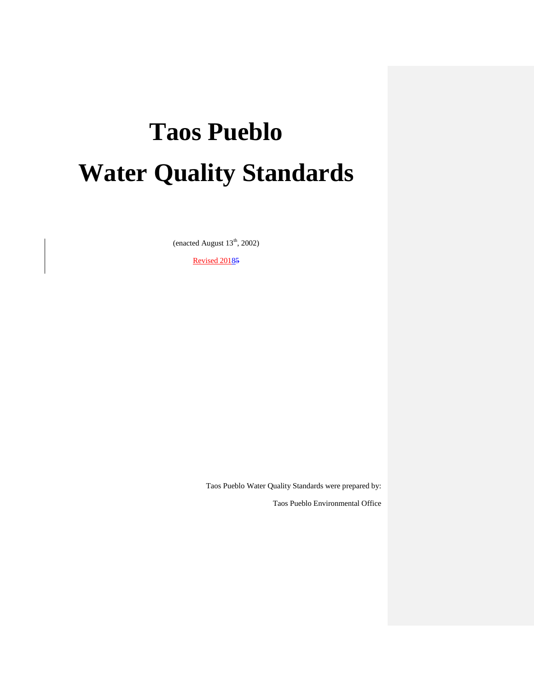# **Taos Pueblo Water Quality Standards**

(enacted August  $13<sup>th</sup>$ , 2002)

Revised 20185

Taos Pueblo Water Quality Standards were prepared by:

Taos Pueblo Environmental Office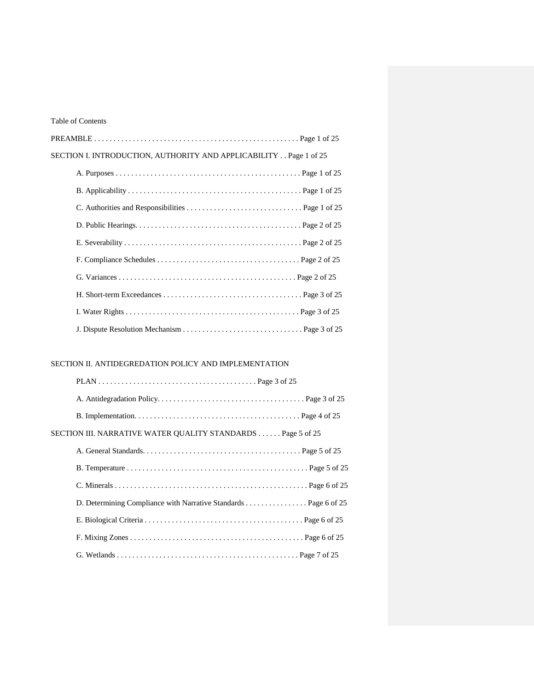#### Table of Contents

| SECTION I. INTRODUCTION, AUTHORITY AND APPLICABILITY Page 1 of 25 |
|-------------------------------------------------------------------|
|                                                                   |
|                                                                   |
|                                                                   |
|                                                                   |
|                                                                   |
|                                                                   |
|                                                                   |
|                                                                   |
|                                                                   |
|                                                                   |

#### SECTION II. ANTIDEGREDATION POLICY AND IMPLEMENTATION

| SECTION III. NARRATIVE WATER QUALITY STANDARDS Page 5 of 25 |  |
|-------------------------------------------------------------|--|
|                                                             |  |
|                                                             |  |
|                                                             |  |
|                                                             |  |
|                                                             |  |
|                                                             |  |
|                                                             |  |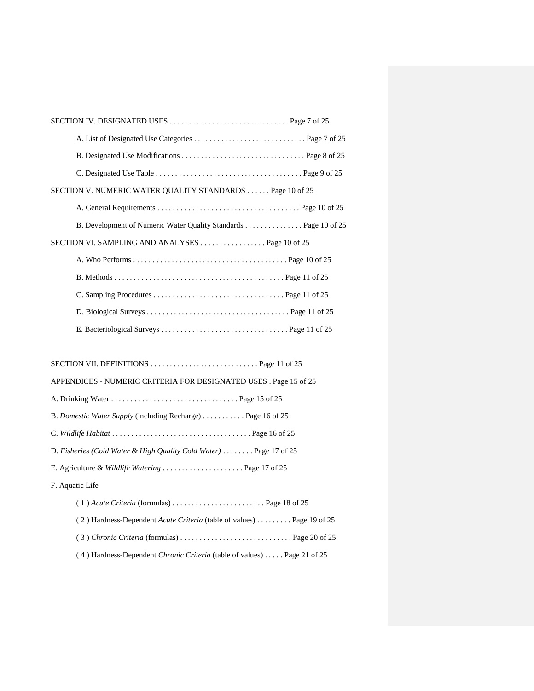| SECTION V. NUMERIC WATER QUALITY STANDARDS Page 10 of 25        |
|-----------------------------------------------------------------|
|                                                                 |
| B. Development of Numeric Water Quality Standards Page 10 of 25 |
|                                                                 |
|                                                                 |
|                                                                 |
|                                                                 |
|                                                                 |
|                                                                 |

| SECTION VII. DEFINITIONS $\ldots \ldots \ldots \ldots \ldots \ldots \ldots \ldots$ Page 11 of 25 |
|--------------------------------------------------------------------------------------------------|
| APPENDICES - NUMERIC CRITERIA FOR DESIGNATED USES . Page 15 of 25                                |
|                                                                                                  |
| B. Domestic Water Supply (including Recharge) Page 16 of 25                                      |
|                                                                                                  |
| D. Fisheries (Cold Water & High Quality Cold Water) $\dots \dots$ Page 17 of 25                  |
| E. Agriculture & Wildlife Watering  Page 17 of 25                                                |
| F. Aquatic Life                                                                                  |
|                                                                                                  |
| (2) Hardness-Dependent Acute Criteria (table of values) Page 19 of 25                            |
|                                                                                                  |
| (4) Hardness-Dependent Chronic Criteria (table of values)  Page 21 of 25                         |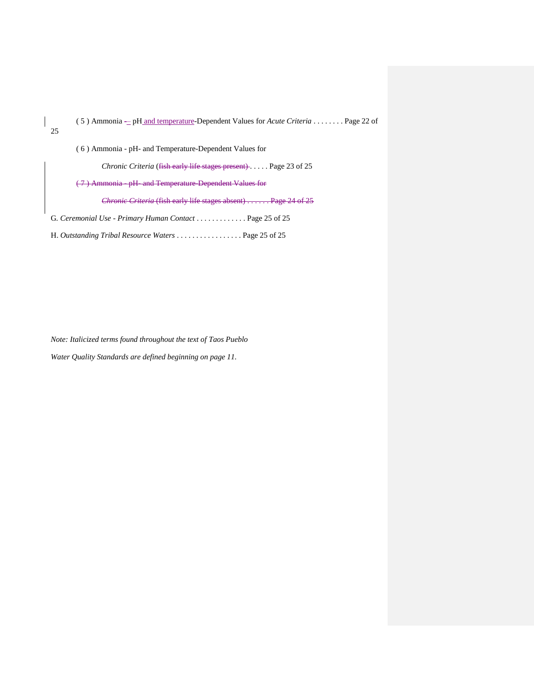| $(5)$ Ammonia – pH and temperature-Dependent Values for <i>Acute Criteria</i> Page 22 of |
|------------------------------------------------------------------------------------------|
| 25                                                                                       |
| (6) Ammonia - pH- and Temperature-Dependent Values for                                   |
| <i>Chronic Criteria</i> (fish early life stages present) Page 23 of 25                   |
| (7) Ammonia - pH- and Temperature-Dependent Values for                                   |
| <i>Chronic Criteria</i> (fish early life stages absent)  Page 24 of 25                   |
| G. Ceremonial Use - Primary Human Contact  Page 25 of 25                                 |
| H. Outstanding Tribal Resource Waters  Page 25 of 25                                     |

*Note: Italicized terms found throughout the text of Taos Pueblo Water Quality Standards are defined beginning on page 11.*

 $\overline{\phantom{a}}$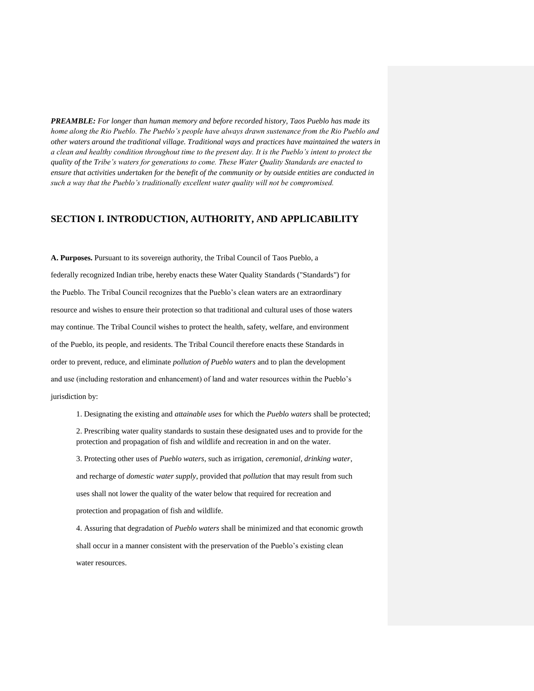*PREAMBLE: For longer than human memory and before recorded history, Taos Pueblo has made its home along the Rio Pueblo. The Pueblo's people have always drawn sustenance from the Rio Pueblo and other waters around the traditional village. Traditional ways and practices have maintained the waters in a clean and healthy condition throughout time to the present day. It is the Pueblo's intent to protect the quality of the Tribe's waters for generations to come. These Water Quality Standards are enacted to ensure that activities undertaken for the benefit of the community or by outside entities are conducted in such a way that the Pueblo's traditionally excellent water quality will not be compromised.* 

#### **SECTION I. INTRODUCTION, AUTHORITY, AND APPLICABILITY**

**A. Purposes.** Pursuant to its sovereign authority, the Tribal Council of Taos Pueblo, a federally recognized Indian tribe, hereby enacts these Water Quality Standards ("Standards") for the Pueblo. The Tribal Council recognizes that the Pueblo's clean waters are an extraordinary resource and wishes to ensure their protection so that traditional and cultural uses of those waters may continue. The Tribal Council wishes to protect the health, safety, welfare, and environment of the Pueblo, its people, and residents. The Tribal Council therefore enacts these Standards in order to prevent, reduce, and eliminate *pollution of Pueblo waters* and to plan the development and use (including restoration and enhancement) of land and water resources within the Pueblo's jurisdiction by:

1. Designating the existing and *attainable uses* for which the *Pueblo waters* shall be protected; 2. Prescribing water quality standards to sustain these designated uses and to provide for the protection and propagation of fish and wildlife and recreation in and on the water.

3. Protecting other uses of *Pueblo waters*, such as irrigation, *ceremonial, drinking water*, and recharge of *domestic water supply*, provided that *pollution* that may result from such uses shall not lower the quality of the water below that required for recreation and protection and propagation of fish and wildlife.

4. Assuring that degradation of *Pueblo waters* shall be minimized and that economic growth shall occur in a manner consistent with the preservation of the Pueblo's existing clean water resources.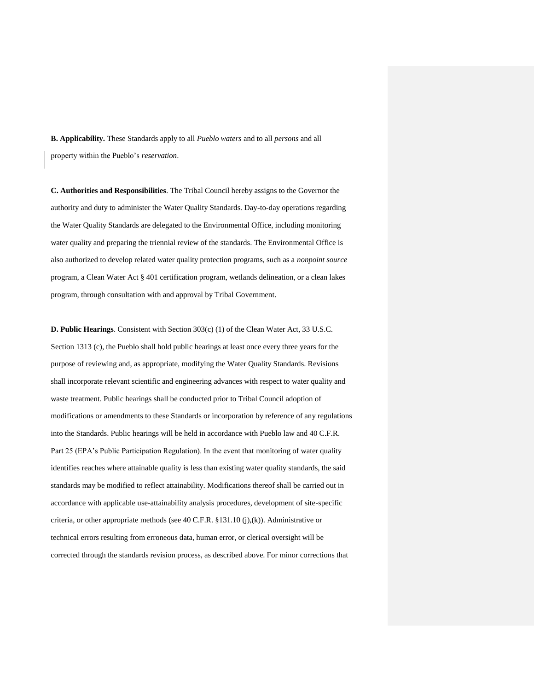**B. Applicability.** These Standards apply to all *Pueblo waters* and to all *persons* and all property within the Pueblo's *reservation*.

**C. Authorities and Responsibilities**. The Tribal Council hereby assigns to the Governor the authority and duty to administer the Water Quality Standards. Day-to-day operations regarding the Water Quality Standards are delegated to the Environmental Office, including monitoring water quality and preparing the triennial review of the standards. The Environmental Office is also authorized to develop related water quality protection programs, such as a *nonpoint source* program, a Clean Water Act § 401 certification program, wetlands delineation, or a clean lakes program, through consultation with and approval by Tribal Government.

**D. Public Hearings**. Consistent with Section 303(c) (1) of the Clean Water Act, 33 U.S.C. Section 1313 (c), the Pueblo shall hold public hearings at least once every three years for the purpose of reviewing and, as appropriate, modifying the Water Quality Standards. Revisions shall incorporate relevant scientific and engineering advances with respect to water quality and waste treatment. Public hearings shall be conducted prior to Tribal Council adoption of modifications or amendments to these Standards or incorporation by reference of any regulations into the Standards. Public hearings will be held in accordance with Pueblo law and 40 C.F.R. Part 25 (EPA's Public Participation Regulation). In the event that monitoring of water quality identifies reaches where attainable quality is less than existing water quality standards, the said standards may be modified to reflect attainability. Modifications thereof shall be carried out in accordance with applicable use-attainability analysis procedures, development of site-specific criteria, or other appropriate methods (see 40 C.F.R. §131.10 (j),(k)). Administrative or technical errors resulting from erroneous data, human error, or clerical oversight will be corrected through the standards revision process, as described above. For minor corrections that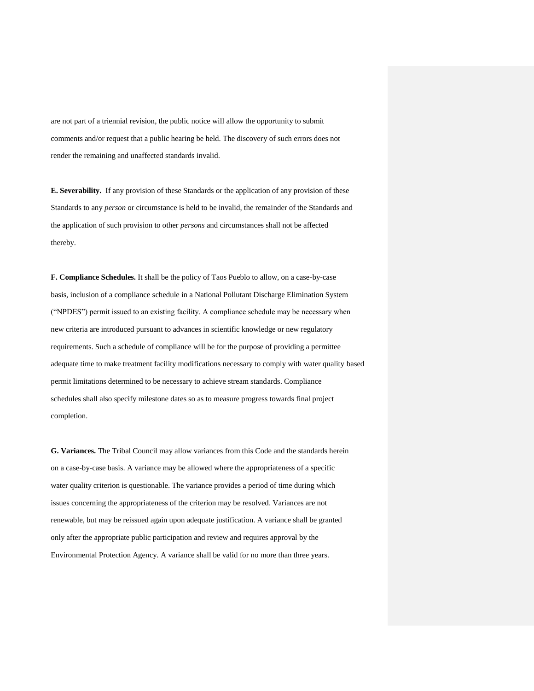are not part of a triennial revision, the public notice will allow the opportunity to submit comments and/or request that a public hearing be held. The discovery of such errors does not render the remaining and unaffected standards invalid.

**E. Severability.** If any provision of these Standards or the application of any provision of these Standards to any *person* or circumstance is held to be invalid, the remainder of the Standards and the application of such provision to other *persons* and circumstances shall not be affected thereby.

**F. Compliance Schedules.** It shall be the policy of Taos Pueblo to allow, on a case-by-case basis, inclusion of a compliance schedule in a National Pollutant Discharge Elimination System ("NPDES") permit issued to an existing facility. A compliance schedule may be necessary when new criteria are introduced pursuant to advances in scientific knowledge or new regulatory requirements. Such a schedule of compliance will be for the purpose of providing a permittee adequate time to make treatment facility modifications necessary to comply with water quality based permit limitations determined to be necessary to achieve stream standards. Compliance schedules shall also specify milestone dates so as to measure progress towards final project completion.

**G. Variances.** The Tribal Council may allow variances from this Code and the standards herein on a case-by-case basis. A variance may be allowed where the appropriateness of a specific water quality criterion is questionable. The variance provides a period of time during which issues concerning the appropriateness of the criterion may be resolved. Variances are not renewable, but may be reissued again upon adequate justification. A variance shall be granted only after the appropriate public participation and review and requires approval by the Environmental Protection Agency. A variance shall be valid for no more than three years.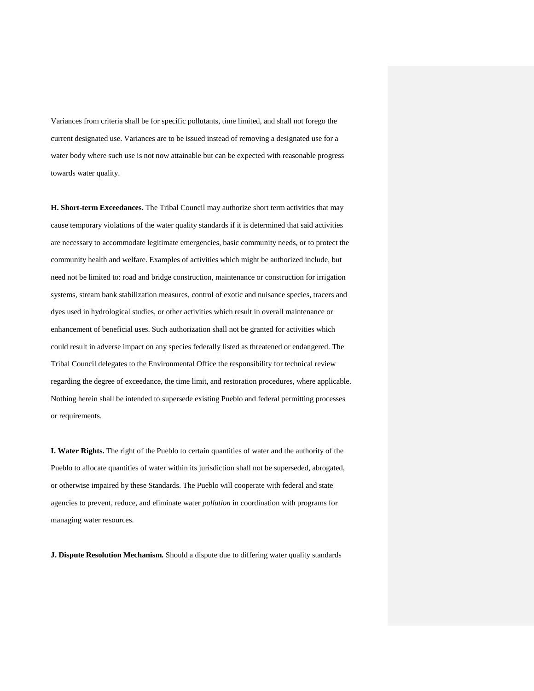Variances from criteria shall be for specific pollutants, time limited, and shall not forego the current designated use. Variances are to be issued instead of removing a designated use for a water body where such use is not now attainable but can be expected with reasonable progress towards water quality.

**H. Short-term Exceedances.** The Tribal Council may authorize short term activities that may cause temporary violations of the water quality standards if it is determined that said activities are necessary to accommodate legitimate emergencies, basic community needs, or to protect the community health and welfare. Examples of activities which might be authorized include, but need not be limited to: road and bridge construction, maintenance or construction for irrigation systems, stream bank stabilization measures, control of exotic and nuisance species, tracers and dyes used in hydrological studies, or other activities which result in overall maintenance or enhancement of beneficial uses. Such authorization shall not be granted for activities which could result in adverse impact on any species federally listed as threatened or endangered. The Tribal Council delegates to the Environmental Office the responsibility for technical review regarding the degree of exceedance, the time limit, and restoration procedures, where applicable. Nothing herein shall be intended to supersede existing Pueblo and federal permitting processes or requirements.

**I. Water Rights.** The right of the Pueblo to certain quantities of water and the authority of the Pueblo to allocate quantities of water within its jurisdiction shall not be superseded, abrogated, or otherwise impaired by these Standards. The Pueblo will cooperate with federal and state agencies to prevent, reduce, and eliminate water *pollution* in coordination with programs for managing water resources.

**J. Dispute Resolution Mechanism.** Should a dispute due to differing water quality standards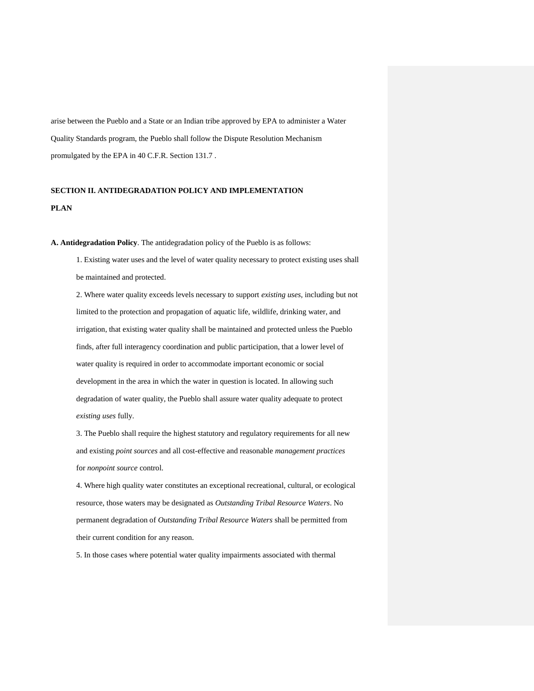arise between the Pueblo and a State or an Indian tribe approved by EPA to administer a Water Quality Standards program, the Pueblo shall follow the Dispute Resolution Mechanism promulgated by the EPA in 40 C.F.R. Section 131.7 .

## **SECTION II. ANTIDEGRADATION POLICY AND IMPLEMENTATION PLAN**

**A. Antidegradation Policy**. The antidegradation policy of the Pueblo is as follows:

1. Existing water uses and the level of water quality necessary to protect existing uses shall be maintained and protected.

2. Where water quality exceeds levels necessary to support *existing uses*, including but not limited to the protection and propagation of aquatic life, wildlife, drinking water, and irrigation, that existing water quality shall be maintained and protected unless the Pueblo finds, after full interagency coordination and public participation, that a lower level of water quality is required in order to accommodate important economic or social development in the area in which the water in question is located. In allowing such degradation of water quality, the Pueblo shall assure water quality adequate to protect *existing uses* fully.

3. The Pueblo shall require the highest statutory and regulatory requirements for all new and existing *point sources* and all cost-effective and reasonable *management practices* for *nonpoint source* control.

4. Where high quality water constitutes an exceptional recreational, cultural, or ecological resource, those waters may be designated as *Outstanding Tribal Resource Waters*. No permanent degradation of *Outstanding Tribal Resource Waters* shall be permitted from their current condition for any reason.

5. In those cases where potential water quality impairments associated with thermal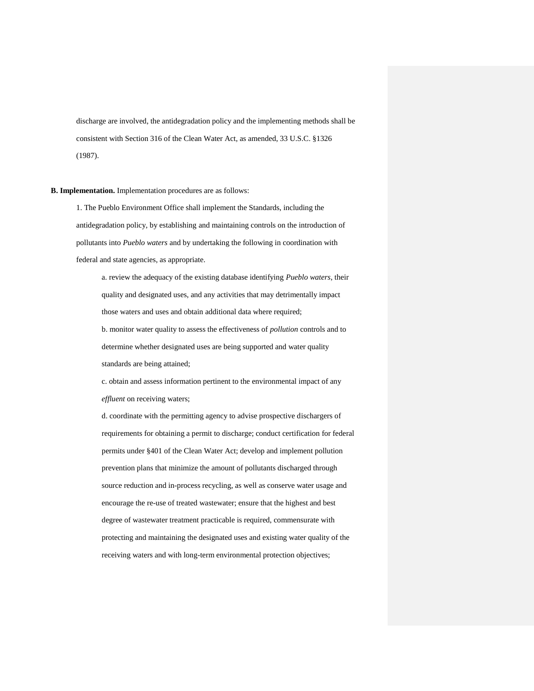discharge are involved, the antidegradation policy and the implementing methods shall be consistent with Section 316 of the Clean Water Act, as amended, 33 U.S.C. §1326 (1987).

**B. Implementation.** Implementation procedures are as follows:

1. The Pueblo Environment Office shall implement the Standards, including the antidegradation policy, by establishing and maintaining controls on the introduction of pollutants into *Pueblo waters* and by undertaking the following in coordination with federal and state agencies, as appropriate.

a. review the adequacy of the existing database identifying *Pueblo waters*, their quality and designated uses, and any activities that may detrimentally impact those waters and uses and obtain additional data where required; b. monitor water quality to assess the effectiveness of *pollution* controls and to

determine whether designated uses are being supported and water quality standards are being attained;

c. obtain and assess information pertinent to the environmental impact of any *effluent* on receiving waters;

d. coordinate with the permitting agency to advise prospective dischargers of requirements for obtaining a permit to discharge; conduct certification for federal permits under §401 of the Clean Water Act; develop and implement pollution prevention plans that minimize the amount of pollutants discharged through source reduction and in-process recycling, as well as conserve water usage and encourage the re-use of treated wastewater; ensure that the highest and best degree of wastewater treatment practicable is required, commensurate with protecting and maintaining the designated uses and existing water quality of the receiving waters and with long-term environmental protection objectives;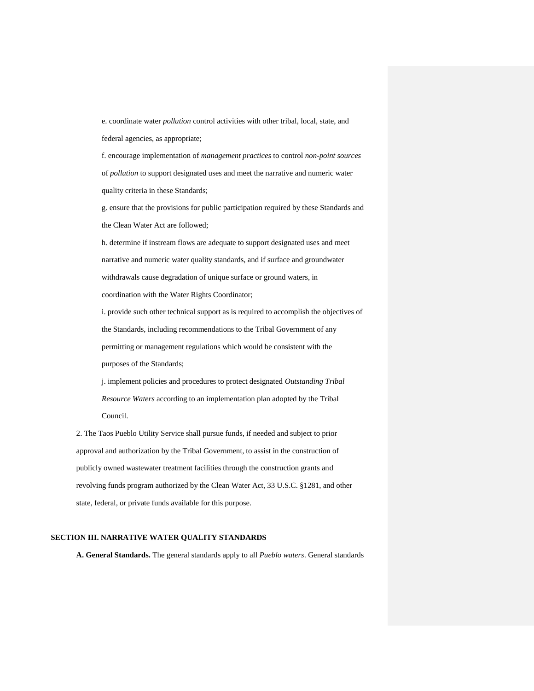e. coordinate water *pollution* control activities with other tribal, local, state, and federal agencies, as appropriate;

f. encourage implementation of *management practices* to control *non-point sources* of *pollution* to support designated uses and meet the narrative and numeric water quality criteria in these Standards;

g. ensure that the provisions for public participation required by these Standards and the Clean Water Act are followed;

h. determine if instream flows are adequate to support designated uses and meet narrative and numeric water quality standards, and if surface and groundwater withdrawals cause degradation of unique surface or ground waters, in coordination with the Water Rights Coordinator;

i. provide such other technical support as is required to accomplish the objectives of the Standards, including recommendations to the Tribal Government of any permitting or management regulations which would be consistent with the purposes of the Standards;

j. implement policies and procedures to protect designated *Outstanding Tribal Resource Waters* according to an implementation plan adopted by the Tribal Council.

2. The Taos Pueblo Utility Service shall pursue funds, if needed and subject to prior approval and authorization by the Tribal Government, to assist in the construction of publicly owned wastewater treatment facilities through the construction grants and revolving funds program authorized by the Clean Water Act, 33 U.S.C. §1281, and other state, federal, or private funds available for this purpose.

#### **SECTION III. NARRATIVE WATER QUALITY STANDARDS**

**A. General Standards.** The general standards apply to all *Pueblo waters*. General standards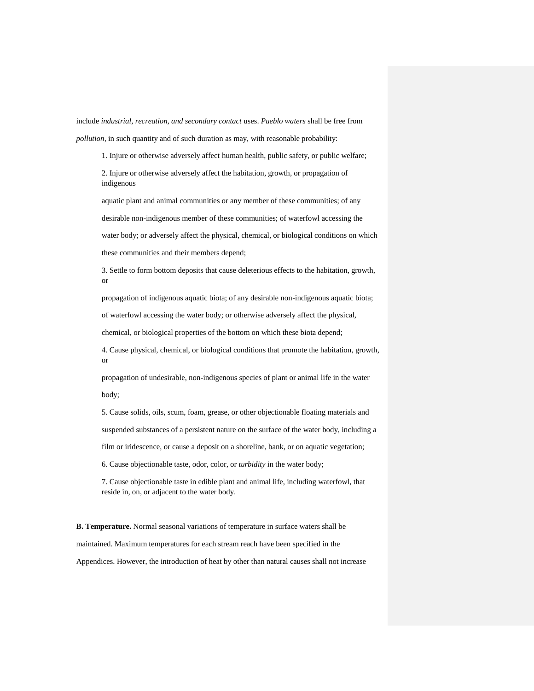include *industrial, recreation, and secondary contact* uses. *Pueblo waters* shall be free from *pollution*, in such quantity and of such duration as may, with reasonable probability:

1. Injure or otherwise adversely affect human health, public safety, or public welfare;

2. Injure or otherwise adversely affect the habitation, growth, or propagation of indigenous

aquatic plant and animal communities or any member of these communities; of any desirable non-indigenous member of these communities; of waterfowl accessing the water body; or adversely affect the physical, chemical, or biological conditions on which these communities and their members depend;

3. Settle to form bottom deposits that cause deleterious effects to the habitation, growth, or

propagation of indigenous aquatic biota; of any desirable non-indigenous aquatic biota;

of waterfowl accessing the water body; or otherwise adversely affect the physical,

chemical, or biological properties of the bottom on which these biota depend;

4. Cause physical, chemical, or biological conditions that promote the habitation, growth, or

propagation of undesirable, non-indigenous species of plant or animal life in the water body;

5. Cause solids, oils, scum, foam, grease, or other objectionable floating materials and suspended substances of a persistent nature on the surface of the water body, including a film or iridescence, or cause a deposit on a shoreline, bank, or on aquatic vegetation;

6. Cause objectionable taste, odor, color, or *turbidity* in the water body;

7. Cause objectionable taste in edible plant and animal life, including waterfowl, that reside in, on, or adjacent to the water body.

**B. Temperature.** Normal seasonal variations of temperature in surface waters shall be maintained. Maximum temperatures for each stream reach have been specified in the Appendices. However, the introduction of heat by other than natural causes shall not increase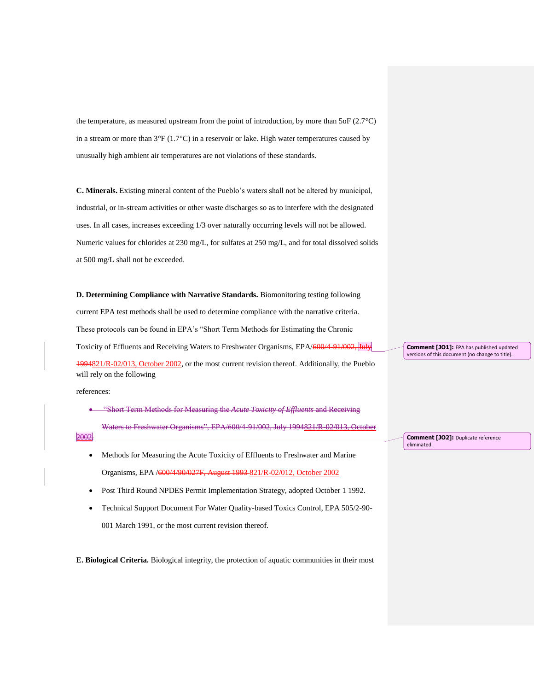the temperature, as measured upstream from the point of introduction, by more than  $5$ oF (2.7 $^{\circ}$ C) in a stream or more than 3°F (1.7°C) in a reservoir or lake. High water temperatures caused by unusually high ambient air temperatures are not violations of these standards.

**C. Minerals.** Existing mineral content of the Pueblo's waters shall not be altered by municipal, industrial, or in-stream activities or other waste discharges so as to interfere with the designated uses. In all cases, increases exceeding 1/3 over naturally occurring levels will not be allowed. Numeric values for chlorides at 230 mg/L, for sulfates at 250 mg/L, and for total dissolved solids at 500 mg/L shall not be exceeded.

**D. Determining Compliance with Narrative Standards.** Biomonitoring testing following current EPA test methods shall be used to determine compliance with the narrative criteria. These protocols can be found in EPA's "Short Term Methods for Estimating the Chronic Toxicity of Effluents and Receiving Waters to Freshwater Organisms, EPA/600/4-91/002, July 1994821/R-02/013, October 2002, or the most current revision thereof. Additionally, the Pueblo will rely on the following

references:

- "Short Term Methods for Measuring the *Acute Toxicity of Effluents* and Receiving Waters to Freshwater Organisms", EPA/600/4-91/002, July 1994821/R-02/013, October 2002.
	- Methods for Measuring the Acute Toxicity of Effluents to Freshwater and Marine Organisms, EPA /600/4/90/027F, August 1993 821/R-02/012, October 2002
	- Post Third Round NPDES Permit Implementation Strategy, adopted October 1 1992.
	- Technical Support Document For Water Quality-based Toxics Control, EPA 505/2-90- 001 March 1991, or the most current revision thereof.

**E. Biological Criteria.** Biological integrity, the protection of aquatic communities in their most

**Comment [JO1]:** EPA has published updated versions of this document (no change to title).

**Comment [JO2]:** Duplicate reference eliminated.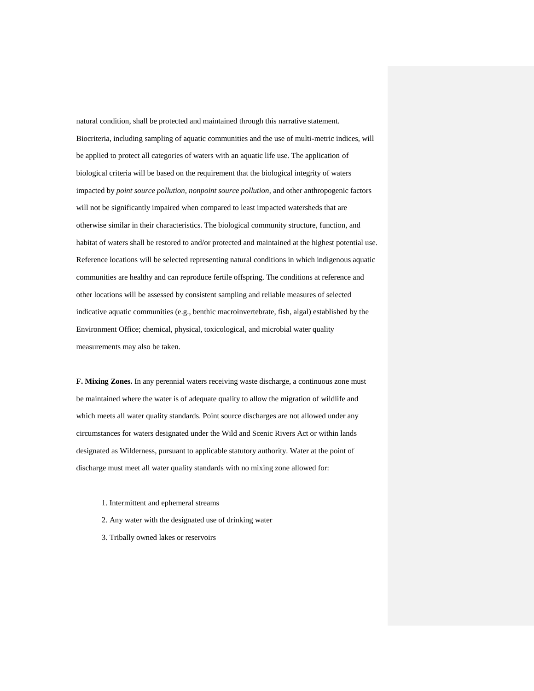natural condition, shall be protected and maintained through this narrative statement. Biocriteria, including sampling of aquatic communities and the use of multi-metric indices, will be applied to protect all categories of waters with an aquatic life use. The application of biological criteria will be based on the requirement that the biological integrity of waters impacted by *point source pollution, nonpoint source pollution*, and other anthropogenic factors will not be significantly impaired when compared to least impacted watersheds that are otherwise similar in their characteristics. The biological community structure, function, and habitat of waters shall be restored to and/or protected and maintained at the highest potential use. Reference locations will be selected representing natural conditions in which indigenous aquatic communities are healthy and can reproduce fertile offspring. The conditions at reference and other locations will be assessed by consistent sampling and reliable measures of selected indicative aquatic communities (e.g., benthic macroinvertebrate, fish, algal) established by the Environment Office; chemical, physical, toxicological, and microbial water quality measurements may also be taken.

**F. Mixing Zones.** In any perennial waters receiving waste discharge, a continuous zone must be maintained where the water is of adequate quality to allow the migration of wildlife and which meets all water quality standards. Point source discharges are not allowed under any circumstances for waters designated under the Wild and Scenic Rivers Act or within lands designated as Wilderness, pursuant to applicable statutory authority. Water at the point of discharge must meet all water quality standards with no mixing zone allowed for:

- 1. Intermittent and ephemeral streams
- 2. Any water with the designated use of drinking water
- 3. Tribally owned lakes or reservoirs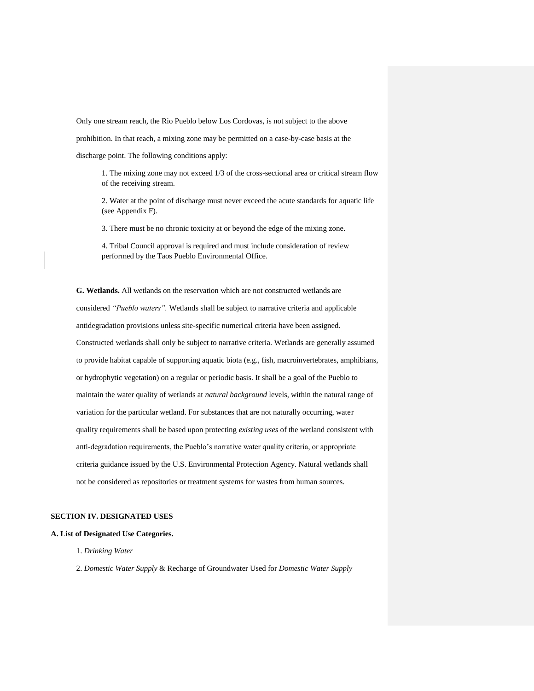Only one stream reach, the Rio Pueblo below Los Cordovas, is not subject to the above prohibition. In that reach, a mixing zone may be permitted on a case-by-case basis at the discharge point. The following conditions apply:

1. The mixing zone may not exceed 1/3 of the cross-sectional area or critical stream flow of the receiving stream.

2. Water at the point of discharge must never exceed the acute standards for aquatic life (see Appendix F).

3. There must be no chronic toxicity at or beyond the edge of the mixing zone.

4. Tribal Council approval is required and must include consideration of review performed by the Taos Pueblo Environmental Office.

**G. Wetlands.** All wetlands on the reservation which are not constructed wetlands are considered *"Pueblo waters".* Wetlands shall be subject to narrative criteria and applicable antidegradation provisions unless site-specific numerical criteria have been assigned. Constructed wetlands shall only be subject to narrative criteria. Wetlands are generally assumed to provide habitat capable of supporting aquatic biota (e.g., fish, macroinvertebrates, amphibians, or hydrophytic vegetation) on a regular or periodic basis. It shall be a goal of the Pueblo to maintain the water quality of wetlands at *natural background* levels, within the natural range of variation for the particular wetland. For substances that are not naturally occurring, water quality requirements shall be based upon protecting *existing uses* of the wetland consistent with anti-degradation requirements, the Pueblo's narrative water quality criteria, or appropriate criteria guidance issued by the U.S. Environmental Protection Agency. Natural wetlands shall not be considered as repositories or treatment systems for wastes from human sources.

#### **SECTION IV. DESIGNATED USES**

#### **A. List of Designated Use Categories.**

- 1. *Drinking Water*
- 2. *Domestic Water Supply* & Recharge of Groundwater Used for *Domestic Water Supply*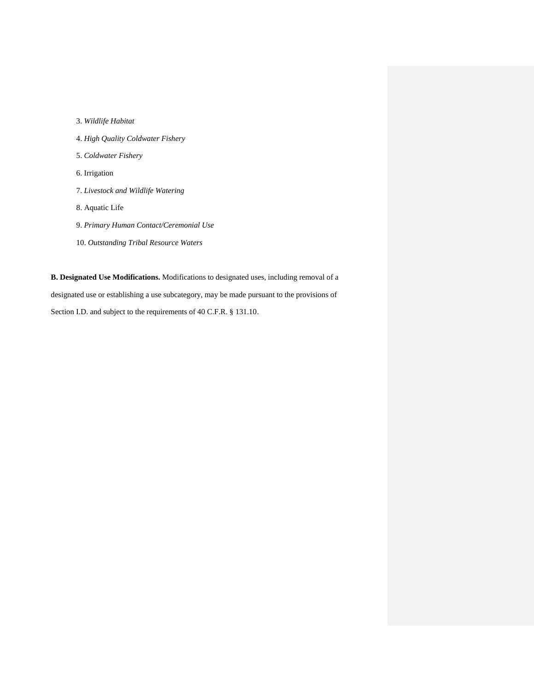- 3. *Wildlife Habitat*
- 4. *High Quality Coldwater Fishery*
- 5. *Coldwater Fishery*
- 6. Irrigation
- 7. *Livestock and Wildlife Watering*
- 8. Aquatic Life
- 9. *Primary Human Contact/Ceremonial Use*
- 10. *Outstanding Tribal Resource Waters*

**B. Designated Use Modifications.** Modifications to designated uses, including removal of a designated use or establishing a use subcategory, may be made pursuant to the provisions of Section I.D. and subject to the requirements of 40 C.F.R. § 131.10.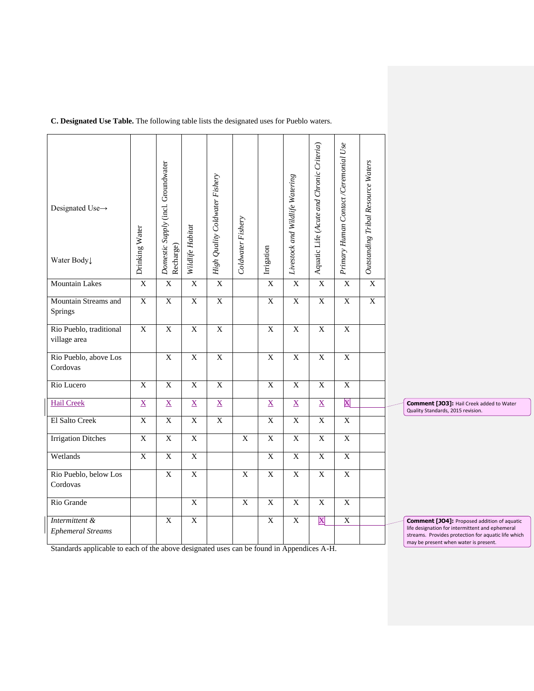| C. Designated Use Table. The following table lists the designated uses for Pueblo waters. |
|-------------------------------------------------------------------------------------------|
|-------------------------------------------------------------------------------------------|

| Designated Use→<br>Water Body              | Drinking Water  | Domestic Supply (incl. Groundwater<br>Recharge) | Wildlife Habitat | High Quality Coldwater Fishery | Coldwater Fishery | Irrigation              | Livestock and Wildlife Watering | Aquatic Life (Acute and Chronic Criteria) | Primary Human Contact / Ceremonial Use | Outstanding Tribal Resource Waters |
|--------------------------------------------|-----------------|-------------------------------------------------|------------------|--------------------------------|-------------------|-------------------------|---------------------------------|-------------------------------------------|----------------------------------------|------------------------------------|
| <b>Mountain Lakes</b>                      | $\overline{X}$  | $\overline{X}$                                  | $\overline{X}$   | $\overline{\mathbf{X}}$        |                   | $\overline{\mathbf{X}}$ | $\mathbf X$                     | $\overline{\mathbf{X}}$                   | $\mathbf X$                            | $\overline{X}$                     |
| Mountain Streams and<br>Springs            | $\overline{X}$  | $\overline{X}$                                  | $\overline{X}$   | $\overline{X}$                 |                   | $\overline{X}$          | $\overline{X}$                  | $\overline{X}$                            | $\overline{X}$                         | $\overline{X}$                     |
| Rio Pueblo, traditional<br>village area    | $\overline{X}$  | $\overline{X}$                                  | $\overline{X}$   | $\overline{X}$                 |                   | $\overline{X}$          | $\overline{X}$                  | $\overline{X}$                            | $\overline{X}$                         |                                    |
| Rio Pueblo, above Los<br>Cordovas          |                 | $\mathbf X$                                     | $\overline{X}$   | $\mathbf X$                    |                   | $\mathbf X$             | $\overline{\mathbf{X}}$         | $\mathbf X$                               | $\mathbf X$                            |                                    |
| Rio Lucero                                 | $\overline{X}$  | $\overline{X}$                                  | $\overline{X}$   | $\overline{X}$                 |                   | $\overline{X}$          | $\overline{X}$                  | $\overline{X}$                            | $\overline{X}$                         |                                    |
| <b>Hail Creek</b>                          | $\underline{X}$ | $\underline{X}$                                 | $\underline{X}$  | $\underline{X}$                |                   | $\underline{X}$         | $\underline{X}$                 | $\underline{\mathbf{X}}$                  | $\overline{\mathbf{X}}$                |                                    |
| El Salto Creek                             | X               | $\overline{X}$                                  | $\overline{X}$   | X                              |                   | X                       | $\mathbf X$                     | $\mathbf X$                               | $\mathbf X$                            |                                    |
| <b>Irrigation Ditches</b>                  | $\overline{X}$  | $\overline{X}$                                  | $\overline{X}$   |                                | $\mathbf X$       | $\overline{X}$          | $\overline{X}$                  | $\overline{X}$                            | $\overline{X}$                         |                                    |
| Wetlands                                   | $\overline{X}$  | $\overline{X}$                                  | $\overline{X}$   |                                |                   | $\overline{X}$          | $\overline{X}$                  | $\overline{X}$                            | $\mathbf X$                            |                                    |
| Rio Pueblo, below Los<br>Cordovas          |                 | $\mathbf X$                                     | $\mathbf X$      |                                | $\mathbf X$       | $\mathbf X$             | $\overline{\mathbf{X}}$         | $\overline{\mathbf{X}}$                   | $\mathbf X$                            |                                    |
| Rio Grande                                 |                 |                                                 | $\overline{X}$   |                                | $\overline{X}$    | $\mathbf X$             | $\overline{X}$                  | $\overline{X}$                            | $\mathbf X$                            |                                    |
| Intermittent &<br><b>Ephemeral Streams</b> |                 | $\overline{X}$                                  | $\overline{X}$   |                                |                   | $\overline{X}$          | $\overline{X}$                  | $\overline{\text{X}}$                     | $\overline{X}$                         |                                    |

**Comment [JO3]:** Hail Creek added to Water Quality Standards, 2015 revision.

**Comment [JO4]:** Proposed addition of aquatic life designation for intermittent and ephemeral if explicition for intermittent and ephemeral may be present when water is present.

Standards applicable to each of the above designated uses can be found in Appendices A-H.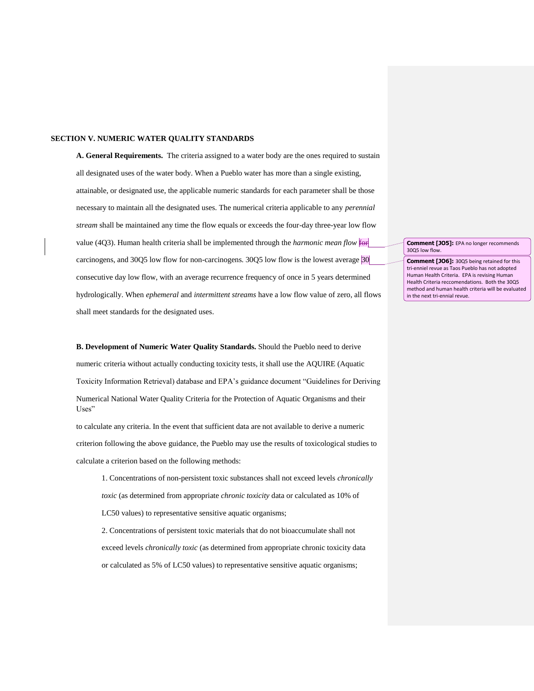#### **SECTION V. NUMERIC WATER QUALITY STANDARDS**

**A. General Requirements.** The criteria assigned to a water body are the ones required to sustain all designated uses of the water body. When a Pueblo water has more than a single existing, attainable, or designated use, the applicable numeric standards for each parameter shall be those necessary to maintain all the designated uses. The numerical criteria applicable to any *perennial stream* shall be maintained any time the flow equals or exceeds the four-day three-year low flow value (4Q3). Human health criteria shall be implemented through the *harmonic mean flow* for carcinogens, and 30Q5 low flow for non-carcinogens. 30Q5 low flow is the lowest average 30 consecutive day low flow, with an average recurrence frequency of once in 5 years determined hydrologically. When *ephemeral* and *intermittent streams* have a low flow value of zero, all flows shall meet standards for the designated uses.

**B. Development of Numeric Water Quality Standards.** Should the Pueblo need to derive numeric criteria without actually conducting toxicity tests, it shall use the AQUIRE (Aquatic Toxicity Information Retrieval) database and EPA's guidance document "Guidelines for Deriving Numerical National Water Quality Criteria for the Protection of Aquatic Organisms and their Uses"

to calculate any criteria. In the event that sufficient data are not available to derive a numeric criterion following the above guidance, the Pueblo may use the results of toxicological studies to calculate a criterion based on the following methods:

1. Concentrations of non-persistent toxic substances shall not exceed levels *chronically toxic* (as determined from appropriate *chronic toxicity* data or calculated as 10% of LC50 values) to representative sensitive aquatic organisms; 2. Concentrations of persistent toxic materials that do not bioaccumulate shall not

exceed levels *chronically toxic* (as determined from appropriate chronic toxicity data or calculated as 5% of LC50 values) to representative sensitive aquatic organisms;

**Comment [JO5]:** EPA no longer recommends 30Q5 low flow.

**Comment [JO6]:** 30Q5 being retained for this tri-enniel revue as Taos Pueblo has not adopted Human Health Criteria. EPA is revising Human Health Criteria reccomendations. Both the 30Q5 method and human health criteria will be evaluated in the next tri-ennial revue.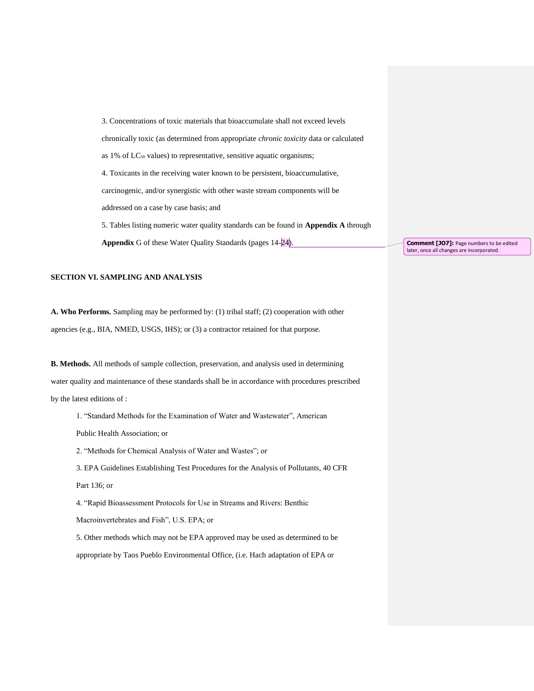3. Concentrations of toxic materials that bioaccumulate shall not exceed levels chronically toxic (as determined from appropriate *chronic toxicity* data or calculated as 1% of LC<sub>50</sub> values) to representative, sensitive aquatic organisms; 4. Toxicants in the receiving water known to be persistent, bioaccumulative, carcinogenic, and/or synergistic with other waste stream components will be addressed on a case by case basis; and 5. Tables listing numeric water quality standards can be found in **Appendix A** through **Appendix** G of these Water Quality Standards (pages 14-24).

**SECTION VI. SAMPLING AND ANALYSIS** 

**A. Who Performs.** Sampling may be performed by: (1) tribal staff; (2) cooperation with other agencies (e.g., BIA, NMED, USGS, IHS); or (3) a contractor retained for that purpose.

**B. Methods.** All methods of sample collection, preservation, and analysis used in determining water quality and maintenance of these standards shall be in accordance with procedures prescribed by the latest editions of :

1. "Standard Methods for the Examination of Water and Wastewater", American

Public Health Association; or

2. "Methods for Chemical Analysis of Water and Wastes"; or

3. EPA Guidelines Establishing Test Procedures for the Analysis of Pollutants, 40 CFR

#### Part 136; or

4. "Rapid Bioassessment Protocols for Use in Streams and Rivers: Benthic

Macroinvertebrates and Fish", U.S. EPA; or

5. Other methods which may not be EPA approved may be used as determined to be appropriate by Taos Pueblo Environmental Office, (i.e. Hach adaptation of EPA or

**Comment [JO7]:** Page numbers to be edited later, once all changes are incorporated.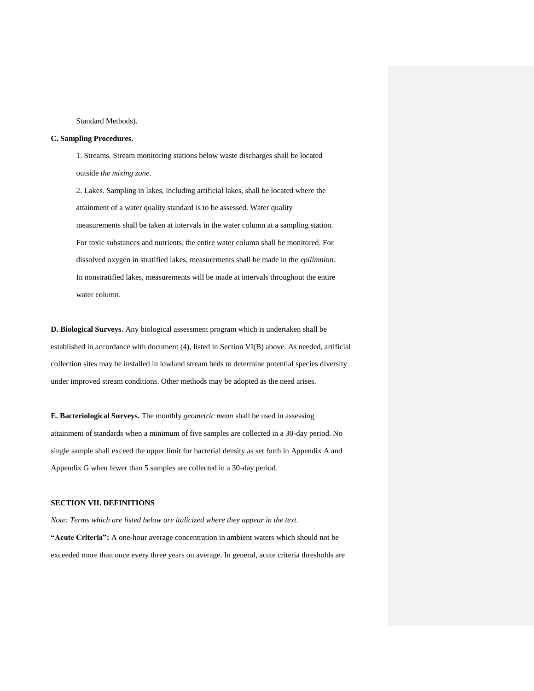Standard Methods).

#### **C. Sampling Procedures.**

1. Streams. Stream monitoring stations below waste discharges shall be located outside *the mixing zone*.

2. Lakes. Sampling in lakes, including artificial lakes, shall be located where the attainment of a water quality standard is to be assessed. Water quality measurements shall be taken at intervals in the water column at a sampling station. For toxic substances and nutrients, the entire water column shall be monitored. For dissolved oxygen in stratified lakes, measurements shall be made in the *epilimnion*. In nonstratified lakes, measurements will be made at intervals throughout the entire water column.

**D. Biological Surveys**. Any biological assessment program which is undertaken shall be established in accordance with document (4), listed in Section VI(B) above. As needed, artificial collection sites may be installed in lowland stream beds to determine potential species diversity under improved stream conditions. Other methods may be adopted as the need arises.

**E. Bacteriological Surveys.** The monthly *geometric mean* shall be used in assessing attainment of standards when a minimum of five samples are collected in a 30-day period. No single sample shall exceed the upper limit for bacterial density as set forth in Appendix A and Appendix G when fewer than 5 samples are collected in a 30-day period.

#### **SECTION VII. DEFINITIONS**

*Note: Terms which are listed below are italicized where they appear in the text.*  **"Acute Criteria":** A one-hour average concentration in ambient waters which should not be exceeded more than once every three years on average. In general, acute criteria thresholds are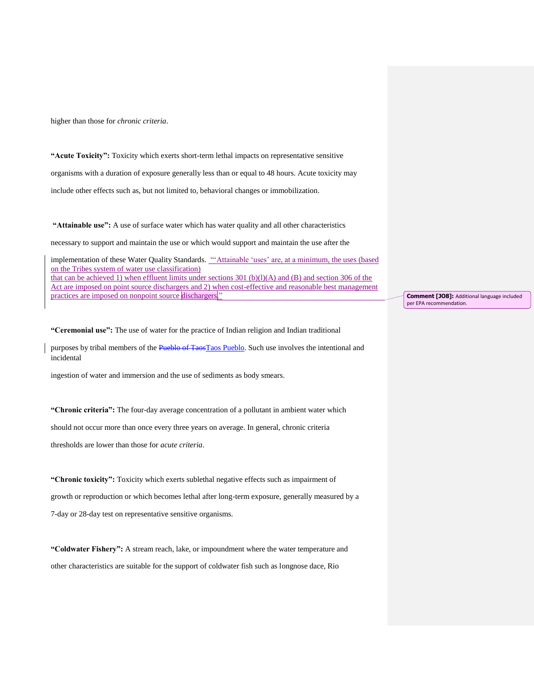higher than those for *chronic criteria*.

**"Acute Toxicity":** Toxicity which exerts short-term lethal impacts on representative sensitive organisms with a duration of exposure generally less than or equal to 48 hours. Acute toxicity may include other effects such as, but not limited to, behavioral changes or immobilization.

**"Attainable use":** A use of surface water which has water quality and all other characteristics

necessary to support and maintain the use or which would support and maintain the use after the

implementation of these Water Quality Standards. "'Attainable 'uses' are, at a minimum, the uses (based on the Tribes system of water use classification) that can be achieved 1) when effluent limits under sections 301 (b)(l)(A) and (B) and section 306 of the Act are imposed on point source dischargers and 2) when cost-effective and reasonable best management practices are imposed on nonpoint source dischargers."

**"Ceremonial use":** The use of water for the practice of Indian religion and Indian traditional

purposes by tribal members of the Pueblo of TaosTaos Pueblo. Such use involves the intentional and incidental

ingestion of water and immersion and the use of sediments as body smears.

**"Chronic criteria":** The four-day average concentration of a pollutant in ambient water which should not occur more than once every three years on average. In general, chronic criteria thresholds are lower than those for *acute criteria*.

**"Chronic toxicity":** Toxicity which exerts sublethal negative effects such as impairment of growth or reproduction or which becomes lethal after long-term exposure, generally measured by a 7-day or 28-day test on representative sensitive organisms.

**"Coldwater Fishery":** A stream reach, lake, or impoundment where the water temperature and other characteristics are suitable for the support of coldwater fish such as longnose dace, Rio

**Comment [JO8]:** Additional language included per EPA recommendation.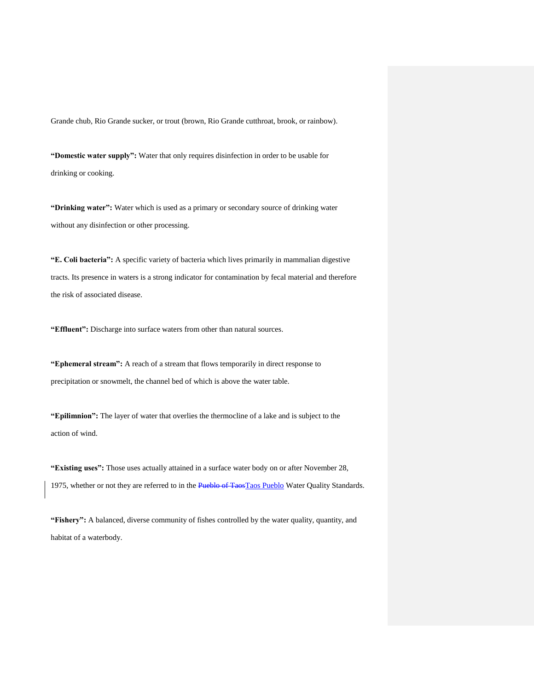Grande chub, Rio Grande sucker, or trout (brown, Rio Grande cutthroat, brook, or rainbow).

**"Domestic water supply":** Water that only requires disinfection in order to be usable for drinking or cooking.

**"Drinking water":** Water which is used as a primary or secondary source of drinking water without any disinfection or other processing.

**"E. Coli bacteria":** A specific variety of bacteria which lives primarily in mammalian digestive tracts. Its presence in waters is a strong indicator for contamination by fecal material and therefore the risk of associated disease.

**"Effluent":** Discharge into surface waters from other than natural sources.

**"Ephemeral stream":** A reach of a stream that flows temporarily in direct response to precipitation or snowmelt, the channel bed of which is above the water table.

**"Epilimnion":** The layer of water that overlies the thermocline of a lake and is subject to the action of wind.

**"Existing uses":** Those uses actually attained in a surface water body on or after November 28, 1975, whether or not they are referred to in the Pueblo of TaosTaos Pueblo Water Quality Standards.

**"Fishery":** A balanced, diverse community of fishes controlled by the water quality, quantity, and habitat of a waterbody.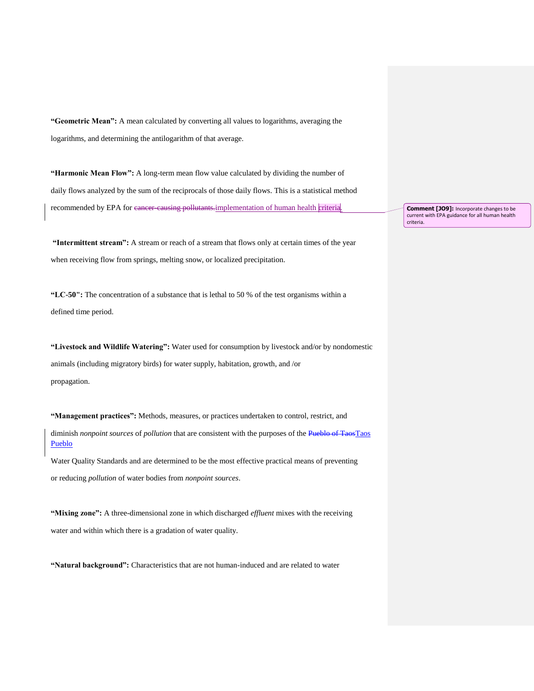**"Geometric Mean":** A mean calculated by converting all values to logarithms, averaging the logarithms, and determining the antilogarithm of that average.

**"Harmonic Mean Flow":** A long-term mean flow value calculated by dividing the number of daily flows analyzed by the sum of the reciprocals of those daily flows. This is a statistical method recommended by EPA for cancer-causing pollutants.implementation of human health criteria.

**"Intermittent stream":** A stream or reach of a stream that flows only at certain times of the year when receiving flow from springs, melting snow, or localized precipitation.

**"LC-50":** The concentration of a substance that is lethal to 50 % of the test organisms within a defined time period.

**"Livestock and Wildlife Watering":** Water used for consumption by livestock and/or by nondomestic animals (including migratory birds) for water supply, habitation, growth, and /or propagation.

**"Management practices":** Methods, measures, or practices undertaken to control, restrict, and diminish *nonpoint sources* of *pollution* that are consistent with the purposes of the Pueblo of TaosTaos Pueblo

Water Quality Standards and are determined to be the most effective practical means of preventing or reducing *pollution* of water bodies from *nonpoint sources*.

**"Mixing zone":** A three-dimensional zone in which discharged *effluent* mixes with the receiving water and within which there is a gradation of water quality.

**"Natural background":** Characteristics that are not human-induced and are related to water

**Comment [JO9]:** Incorporate changes to be current with EPA guidance for all human health criteria.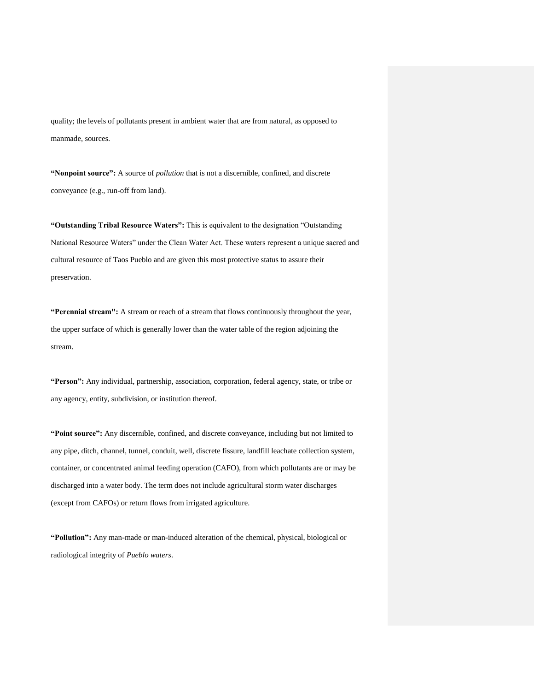quality; the levels of pollutants present in ambient water that are from natural, as opposed to manmade, sources.

**"Nonpoint source":** A source of *pollution* that is not a discernible, confined, and discrete conveyance (e.g., run-off from land).

**"Outstanding Tribal Resource Waters":** This is equivalent to the designation "Outstanding National Resource Waters" under the Clean Water Act. These waters represent a unique sacred and cultural resource of Taos Pueblo and are given this most protective status to assure their preservation.

**"Perennial stream":** A stream or reach of a stream that flows continuously throughout the year, the upper surface of which is generally lower than the water table of the region adjoining the stream.

**"Person":** Any individual, partnership, association, corporation, federal agency, state, or tribe or any agency, entity, subdivision, or institution thereof.

**"Point source":** Any discernible, confined, and discrete conveyance, including but not limited to any pipe, ditch, channel, tunnel, conduit, well, discrete fissure, landfill leachate collection system, container, or concentrated animal feeding operation (CAFO), from which pollutants are or may be discharged into a water body. The term does not include agricultural storm water discharges (except from CAFOs) or return flows from irrigated agriculture.

**"Pollution":** Any man-made or man-induced alteration of the chemical, physical, biological or radiological integrity of *Pueblo waters*.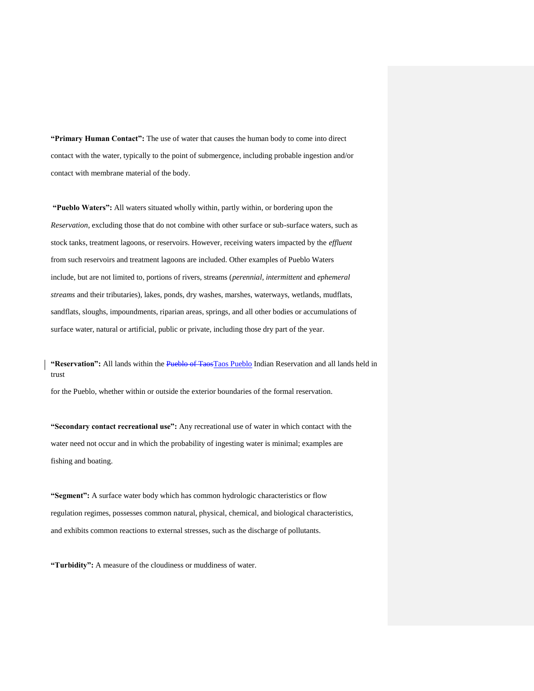**"Primary Human Contact":** The use of water that causes the human body to come into direct contact with the water, typically to the point of submergence, including probable ingestion and/or contact with membrane material of the body.

**"Pueblo Waters":** All waters situated wholly within, partly within, or bordering upon the *Reservation*, excluding those that do not combine with other surface or sub-surface waters, such as stock tanks, treatment lagoons, or reservoirs. However, receiving waters impacted by the *effluent*  from such reservoirs and treatment lagoons are included. Other examples of Pueblo Waters include, but are not limited to, portions of rivers, streams (*perennial, intermittent* and *ephemeral streams* and their tributaries), lakes, ponds, dry washes, marshes, waterways, wetlands, mudflats, sandflats, sloughs, impoundments, riparian areas, springs, and all other bodies or accumulations of surface water, natural or artificial, public or private, including those dry part of the year.

**"Reservation":** All lands within the Pueblo of TaosTaos Pueblo Indian Reservation and all lands held in trust

for the Pueblo, whether within or outside the exterior boundaries of the formal reservation.

**"Secondary contact recreational use":** Any recreational use of water in which contact with the water need not occur and in which the probability of ingesting water is minimal; examples are fishing and boating.

**"Segment":** A surface water body which has common hydrologic characteristics or flow regulation regimes, possesses common natural, physical, chemical, and biological characteristics, and exhibits common reactions to external stresses, such as the discharge of pollutants.

**"Turbidity":** A measure of the cloudiness or muddiness of water.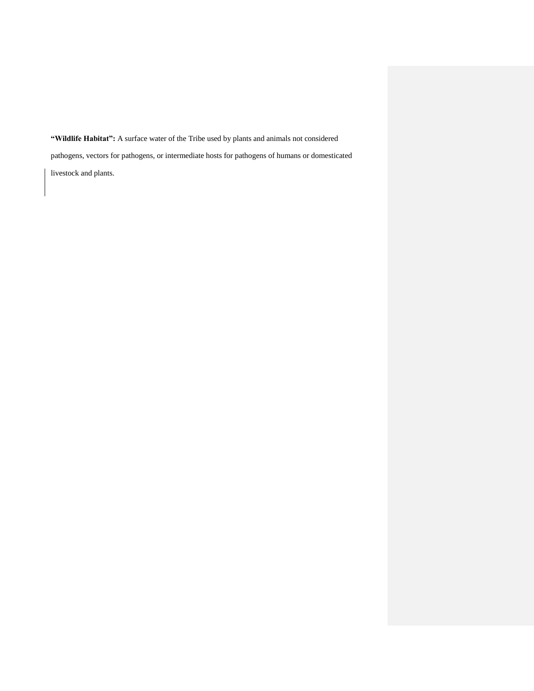**"Wildlife Habitat":** A surface water of the Tribe used by plants and animals not considered pathogens, vectors for pathogens, or intermediate hosts for pathogens of humans or domesticated livestock and plants.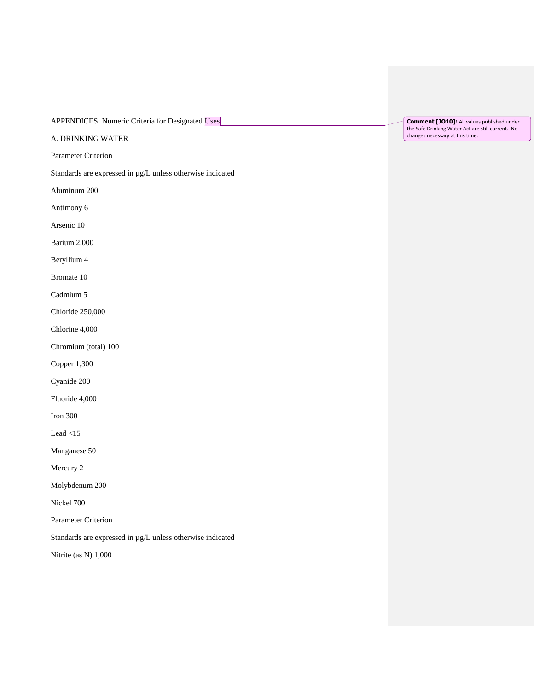APPENDICES: Numeric Criteria for Designated Uses

A. DRINKING WATER

Parameter Criterion

Standards are expressed in µg/L unless otherwise indicated

Aluminum 200

Antimony 6

Arsenic 10

Barium 2,000

Beryllium 4

Bromate 10

Cadmium 5

Chloride 250,000

Chlorine 4,000

Chromium (total) 100

Copper 1,300

Cyanide 200

Fluoride 4,000

Iron 300

Lead <15

Manganese 50

Mercury 2

Molybdenum 200

Nickel 700

Parameter Criterion

Standards are expressed in µg/L unless otherwise indicated

Nitrite (as N) 1,000

**Comment [JO10]:** All values published under the Safe Drinking Water Act are still current. No changes necessary at this time.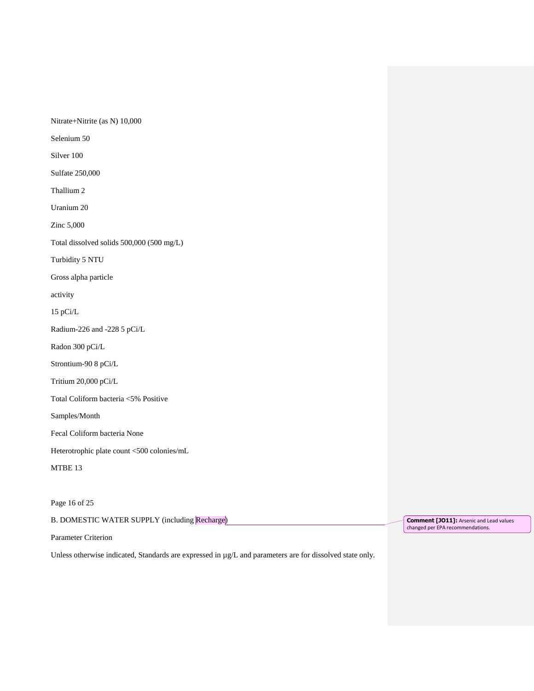Nitrate+Nitrite (as N) 10,000

Selenium 50

Silver 100

Sulfate 250,000

Thallium 2

Uranium 20

Zinc 5,000

Total dissolved solids 500,000 (500 mg/L)

Turbidity 5 NTU

Gross alpha particle

activity

15 pCi/L

Radium-226 and -228 5 pCi/L

Radon 300 pCi/L

Strontium-90 8 pCi/L

Tritium 20,000 pCi/L

Total Coliform bacteria <5% Positive

Samples/Month

Fecal Coliform bacteria None

Heterotrophic plate count <500 colonies/mL

MTBE 13

Page 16 of 25

B. DOMESTIC WATER SUPPLY (including Recharge)

Parameter Criterion

Unless otherwise indicated, Standards are expressed in µg/L and parameters are for dissolved state only.

**Comment [JO11]:** Arsenic and Lead values changed per EPA recommendations.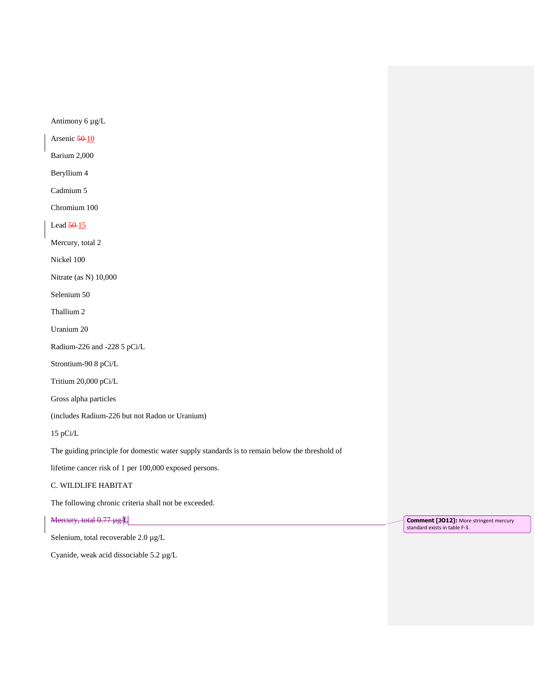Antimony 6 µg/L

Arsenic 50-10

Barium 2,000

Beryllium 4

Cadmium 5

Chromium 100

Lead 50-15

Mercury, total 2

Nickel 100

Nitrate (as N) 10,000

Selenium 50

Thallium 2

Uranium 20

Radium-226 and -228 5 pCi/L

Strontium-90 8 pCi/L

Tritium 20,000 pCi/L

Gross alpha particles

(includes Radium-226 but not Radon or Uranium)

15 pCi/L

The guiding principle for domestic water supply standards is to remain below the threshold of

lifetime cancer risk of 1 per 100,000 exposed persons.

#### C. WILDLIFE HABITAT

The following chronic criteria shall not be exceeded.

Mercury, total 0.77 µg/L

Selenium, total recoverable 2.0 µg/L

Cyanide, weak acid dissociable 5.2 µg/L

**Comment [JO12]:** More stringent mercury standard exists in table F-3.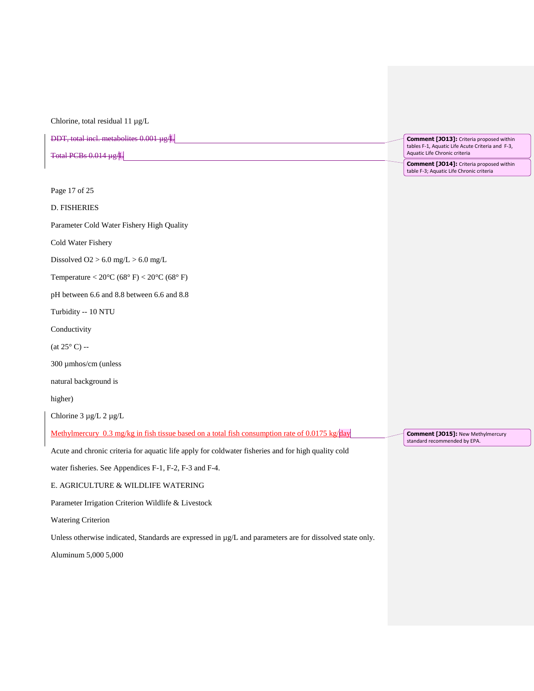Chlorine, total residual 11 µg/L

DDT, total incl. metabolites 0.001 µg/L Total PCBs 0.014 µg/L **Comment [JO13]:** Criteria proposed within tables F-1, Aquatic Life Acute Criteria and F-3,

Page 17 of 25

D. FISHERIES

Parameter Cold Water Fishery High Quality

Cold Water Fishery

Dissolved  $O2 > 6.0$  mg/L  $> 6.0$  mg/L

Temperature <  $20^{\circ}$ C (68° F) <  $20^{\circ}$ C (68° F)

pH between 6.6 and 8.8 between 6.6 and 8.8

Turbidity -- 10 NTU

Conductivity

(at  $25^{\circ}$  C) --

300 µmhos/cm (unless

natural background is

higher)

Chlorine 3 µg/L 2 µg/L

Methylmercury 0.3 mg/kg in fish tissue based on a total fish consumption rate of 0.0175 kg/day

Acute and chronic criteria for aquatic life apply for coldwater fisheries and for high quality cold

water fisheries. See Appendices F-1, F-2, F-3 and F-4.

#### E. AGRICULTURE & WILDLIFE WATERING

Parameter Irrigation Criterion Wildlife & Livestock

Watering Criterion

Unless otherwise indicated, Standards are expressed in  $\mu$ g/L and parameters are for dissolved state only.

Aluminum 5,000 5,000

Aquatic Life Chronic criteria **Comment [JO14]:** Criteria proposed within table F-3; Aquatic Life Chronic criteria

**Comment [JO15]:** New Methylmercury standard recommended by EPA.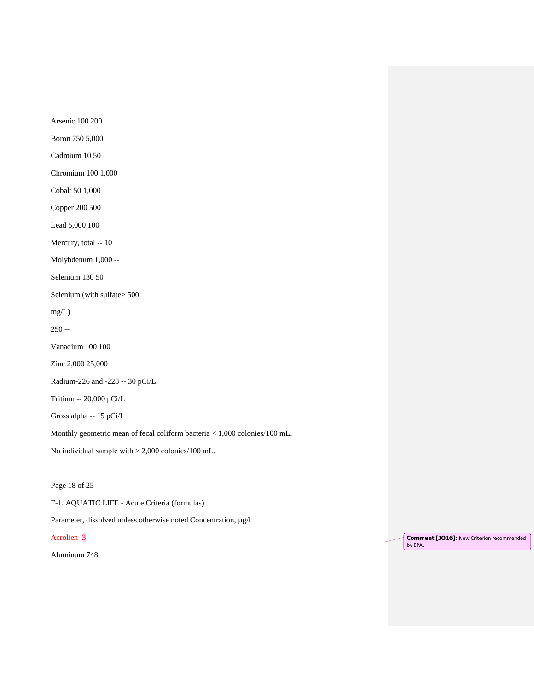Arsenic 100 200

Boron 750 5,000

Cadmium 10 50

Chromium 100 1,000

Cobalt 50 1,000

Copper 200 500

Lead 5,000 100

Mercury, total -- 10

Molybdenum 1,000 --

Selenium 130 50

Selenium (with sulfate> 500

mg/L)

250 --

Vanadium 100 100

Zinc 2,000 25,000

Radium-226 and -228 -- 30 pCi/L

Tritium -- 20,000 pCi/L

Gross alpha -- 15 pCi/L

Monthly geometric mean of fecal coliform bacteria < 1,000 colonies/100 mL.

No individual sample with > 2,000 colonies/100 mL.

Page 18 of 25

F-1. AQUATIC LIFE - Acute Criteria (formulas)

Parameter, dissolved unless otherwise noted Concentration, µg/l

Acrolien 3

Aluminum 748

**Comment [JO16]:** New Criterion recommended by EPA.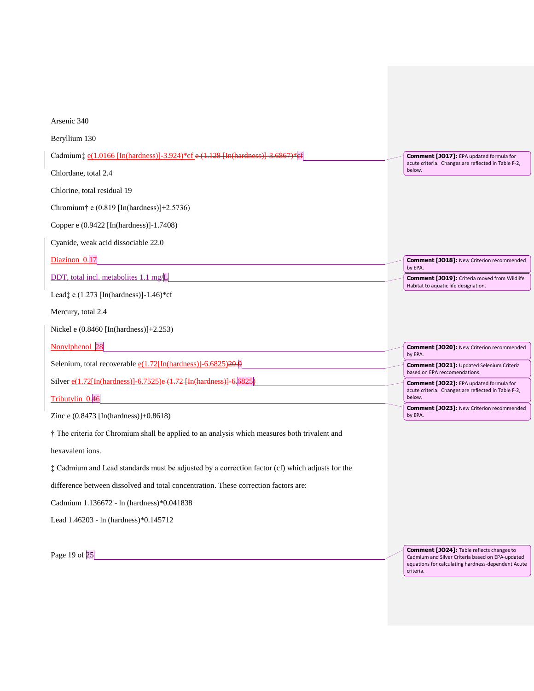| Arsenic 340                                                                                     |                                                                                                       |
|-------------------------------------------------------------------------------------------------|-------------------------------------------------------------------------------------------------------|
| Beryllium 130                                                                                   |                                                                                                       |
| Cadmium: $e(1.0166$ [In(hardness)]-3.924)*cf $e(1.128$ [In(hardness)]-3.                        | <b>Comment [JO17]:</b> EPA updated formula for<br>acute criteria. Changes are reflected in Table F-2, |
| Chlordane, total 2.4                                                                            | below.                                                                                                |
| Chlorine, total residual 19                                                                     |                                                                                                       |
| Chromium <sup>†</sup> e $(0.819$ [In(hardness)]+2.5736)                                         |                                                                                                       |
| Copper e (0.9422 [In(hardness)]-1.7408)                                                         |                                                                                                       |
| Cyanide, weak acid dissociable 22.0                                                             |                                                                                                       |
| Diazinon 0.17                                                                                   | <b>Comment [JO18]: New Criterion recommended</b>                                                      |
| DDT, total incl. metabolites 1.1 mg/L                                                           | by EPA.<br><b>Comment [JO19]:</b> Criteria moved from Wildlife                                        |
| Lead; e $(1.273$ [In(hardness)]-1.46)*cf                                                        | Habitat to aquatic life designation.                                                                  |
| Mercury, total 2.4                                                                              |                                                                                                       |
|                                                                                                 |                                                                                                       |
| Nickel e $(0.8460$ [In(hardness)]+2.253)                                                        |                                                                                                       |
| Nonylphenol 28                                                                                  | <b>Comment [JO20]: New Criterion recommended</b>                                                      |
| Selenium, total recoverable $e(1.72$ [In(hardness)]-6.6825) <del>20.</del> 0                    | by EPA.<br><b>Comment [JO21]: Updated Selenium Criteria</b>                                           |
| Silver $e(1.72[\text{In}(\text{hardness})] - 6.7525)e(1.72[\text{In}(\text{hardness})])$        | based on EPA reccomendations.<br>Comment [JO22]: EPA updated formula for                              |
| Tributylin 0.46                                                                                 | acute criteria. Changes are reflected in Table F-2,<br>below.                                         |
| Zinc e $(0.8473$ [In(hardness)]+0.8618)                                                         | <b>Comment [JO23]: New Criterion recommended</b><br>by EPA.                                           |
| † The criteria for Chromium shall be applied to an analysis which measures both trivalent and   |                                                                                                       |
| hexavalent ions.                                                                                |                                                                                                       |
| : Cadmium and Lead standards must be adjusted by a correction factor (cf) which adjusts for the |                                                                                                       |
| difference between dissolved and total concentration. These correction factors are:             |                                                                                                       |
| Cadmium 1.136672 - In (hardness)*0.041838                                                       |                                                                                                       |
| Lead 1.46203 - ln (hardness)*0.145712                                                           |                                                                                                       |

**Comment [JO24]:** Table reflects changes to Cadmium and Silver Criteria based on EPA-updated equations for calculating hardness-dependent Acute criteria.

Page 19 of 25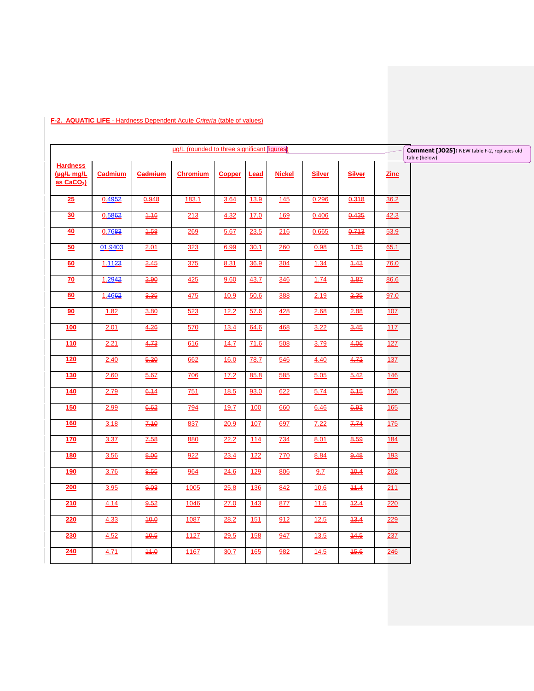|                                                 |                |                   | ug/L (rounded to three significant figures) |               |            |               |               |                    |             | Comment [JO25]: NEW table F-2, replaces old |
|-------------------------------------------------|----------------|-------------------|---------------------------------------------|---------------|------------|---------------|---------------|--------------------|-------------|---------------------------------------------|
|                                                 |                |                   |                                             |               |            |               |               |                    |             | table (below)                               |
| <b>Hardness</b><br>(He/L mg/L<br>$as$ $CaCO3$ ) | <b>Cadmium</b> | <b>Gadmium</b>    | <b>Chromium</b>                             | <b>Copper</b> | Lead       | <b>Nickel</b> | <b>Silver</b> | Silver             | <b>Zinc</b> |                                             |
| 25                                              | 0.4952         | 0.948             | 183.1                                       | 3.64          | 13.9       | 145           | 0.296         | 0.318              | 36.2        |                                             |
| 30                                              | 0.5862         | 1.16              | 213                                         | 4.32          | 17.0       | 169           | 0.406         | 0.435              | 42.3        |                                             |
| 40                                              | 0.7683         | 4.58              | 269                                         | 5.67          | 23.5       | 216           | 0.665         | 0.713              | 53.9        |                                             |
| 50                                              | 04.9403        | 2.01              | 323                                         | 6.99          | 30.1       | 260           | 0.98          | $\underline{4.05}$ | 65.1        |                                             |
| 60                                              | 1.1123         | 2.45              | 375                                         | 8.31          | 36.9       | 304           | 1.34          | 4.43               | 76.0        |                                             |
| $\overline{70}$                                 | 1.2942         | 2.90              | 425                                         | 9.60          | 43.7       | 346           | 1.74          | $\underline{4.87}$ | 86.6        |                                             |
| 80                                              | 1.4662         | 3.35              | 475                                         | 10.9          | 50.6       | 388           | 2.19          | 2.35               | 97.0        |                                             |
| 90                                              | 1.82           | 3.80              | 523                                         | 12.2          | 57.6       | <u>428</u>    | 2.68          | 2.88               | 107         |                                             |
| 100                                             | 2.01           | 4.26              | 570                                         | 13.4          | 64.6       | <u>468</u>    | 3.22          | $\frac{3.45}{5}$   | 117         |                                             |
| 110                                             | 2.21           | 4.73              | 616                                         | 14.7          | 71.6       | 508           | 3.79          | 4.06               | 127         |                                             |
| 120                                             | 2.40           | 6.20              | 662                                         | <u>16.0</u>   | 78.7       | 546           | 4.40          | 4.72               | 137         |                                             |
| 130                                             | 2.60           | 5.67              | <b>706</b>                                  | 17.2          | 85.8       | 585           | 5.05          | 5.42               | 146         |                                             |
| 140                                             | 2.79           | 6.14              | 751                                         | 18.5          | 93.0       | 622           | 5.74          | 6.15               | 156         |                                             |
| 150                                             | 2.99           | 6.62              | <u>794</u>                                  | 19.7          | 100        | 660           | 6.46          | 6.93               | 165         |                                             |
| <b>160</b>                                      | 3.18           | 7.10              | 837                                         | 20.9          | 107        | 697           | 7.22          | 7.74               | 175         |                                             |
| 170                                             | 3.37           | 7.58              | 880                                         | 22.2          | 114        | <u>734</u>    | 8.01          | 8.59               | 184         |                                             |
| <b>180</b>                                      | 3.56           | 8.06              | 922                                         | 23.4          | 122        | 770           | 8.84          | 9.48               | 193         |                                             |
| <u>190</u>                                      | 3.76           | 8.55              | 964                                         | 24.6          | <u>129</u> | 806           | 9.7           | 10.4               | 202         |                                             |
| 200                                             | 3.95           | 0.03              | 1005                                        | 25.8          | 136        | 842           | 10.6          | 11.4               | 211         |                                             |
| 210                                             | 4.14           | 9.52              | 1046                                        | 27.0          | 143        | 877           | 11.5          | 12.4               | 220         |                                             |
| 220                                             | 4.33           | $\frac{40.0}{50}$ | 1087                                        | 28.2          | 151        | 912           | 12.5          | 13.4               | 229         |                                             |
| 230                                             | 4.52           | 10.6              | 1127                                        | 29.5          | <b>158</b> | 947           | 13.5          | 14.5               | 237         |                                             |
| 240                                             | 4.71           | $\frac{44.0}{ }$  | 1167                                        | 30.7          | <b>165</b> | 982           | 14.5          | 16.6               | 246         |                                             |

### **F-2. AQUATIC LIFE** - Hardness Dependent Acute *Criteria* (table of values)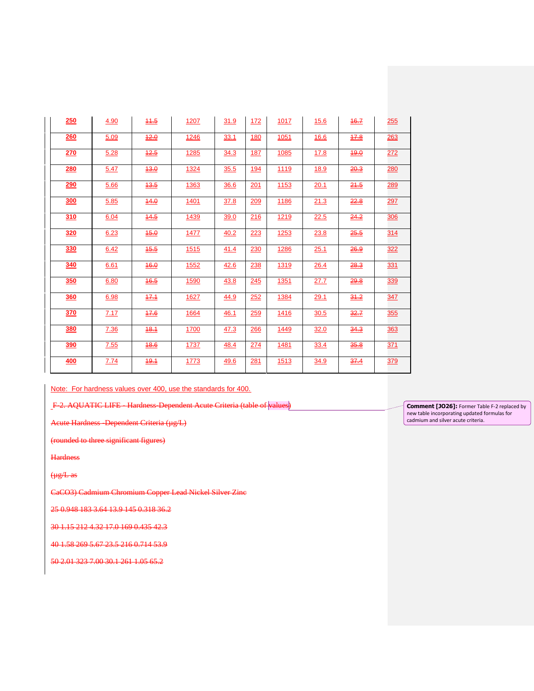| 250        | 4.90 | 11.5 | 1207        | 31.9 | 172        | 1017        | <b>15.6</b> | 16.7 | 255        |
|------------|------|------|-------------|------|------------|-------------|-------------|------|------------|
| 260        | 5.09 | 12.0 | 1246        | 33.1 | <u>180</u> | 1051        | <u>16.6</u> | 17.8 | 263        |
| 270        | 5.28 | 12.5 | 1285        | 34.3 | <u>187</u> | 1085        | 17.8        | 19.0 | 272        |
| 280        | 5.47 | 13.0 | 1324        | 35.5 | <u>194</u> | 1119        | <u>18.9</u> | 20.3 | 280        |
| <u>290</u> | 5.66 | 13.5 | 1363        | 36.6 | 201        | 1153        | 20.1        | 21.5 | 289        |
| <b>300</b> | 5.85 | 44.0 | <u>1401</u> | 37.8 | 209        | <u>1186</u> | 21.3        | 22.8 | 297        |
| 310        | 6.04 | 14.5 | 1439        | 39.0 | 216        | 1219        | 22.5        | 24.2 | 306        |
| 320        | 6.23 | 15.0 | 1477        | 40.2 | 223        | 1253        | 23.8        | 25.5 | 314        |
| 330        | 6.42 | 16.6 | 1515        | 41.4 | 230        | 1286        | 25.1        | 26.9 | 322        |
| <b>340</b> | 6.61 | 16.0 | 1552        | 42.6 | 238        | 1319        | 26.4        | 28.3 | 331        |
| 350        | 6.80 | 16.5 | 1590        | 43.8 | 245        | 1351        | 27.7        | 29.8 | 339        |
| <b>360</b> | 6.98 | 17.1 | 1627        | 44.9 | 252        | 1384        | 29.1        | 31.2 | 347        |
| 370        | 7.17 | 17.6 | 1664        | 46.1 | 259        | 1416        | 30.5        | 32.7 | <u>355</u> |
| 380        | 7.36 | 18.1 | 1700        | 47.3 | 266        | 1449        | 32.0        | 34.3 | 363        |
| 390        | 7.55 | 18.6 | 1737        | 48.4 | 274        | 1481        | 33.4        | 35.8 | <u>371</u> |
| 400        | 7.74 | 19.1 | 1773        | 49.6 | 281        | 1513        | 34.9        | 37.4 | <u>379</u> |

Note: For hardness values over 400, use the standards for 400.

F-2. AQUATIC LIFE - Hardness-Dependent Acute Criteria (table of values)

Acute Hardness -Dependent Criteria (µg/L)

(rounded to three significant figures)

**Hardness** 

 $\frac{1}{2}$ 

CaCO3) Cadmium Chromium Copper Lead Nickel Silver Zinc

25 0.948 183 3.64 13.9 145 0.318 36.2

30 1.15 212 4.32 17.0 169 0.435 42.3

40 1.58 269 5.67 23.5 216 0.714 53.9

50 2.01 323 7.00 30.1 261 1.05 65.2

**Comment [JO26]:** Former Table F-2 replaced by new table incorporating updated formulas for cadmium and silver acute criteria.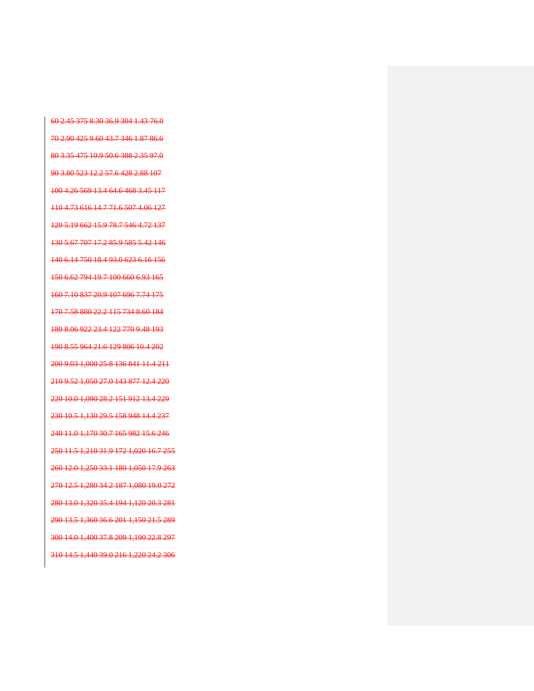60 2.45 375 8.30 36.9 304 1.43 76.0 70 2.90 425 9.60 43.7 346 1.87 86.6 80 3.35 475 10.9 50.6 388 2.35 97.0 90 3.80 523 12.2 57.6 428 2.88 107 100 4.26 569 13.4 64.6 468 3.45 117 110 4.73 616 14.7 71.6 507 4.06 127 120 5.19 662 15.9 78.7 546 4.72 137 130 5.67 707 17.2 85.9 585 5.42 146 140 6.14 750 18.4 93.0 623 6.16 156 150 6.62 794 19.7 100 660 6.93 165 160 7.10 837 20.9 107 696 7.74 175 170 7.58 880 22.2 115 734 8.60 184 180 8.06 922 23.4 122 770 9.48 193 190 8.55 964 21.6 129 806 10.4 202 200 9.03 1,000 25.8 136 841 11.4 211 210 9.52 1,050 27.0 143 877 12.4 220 220 10.0 1,090 28.2 151 912 13.4 229 230 10.5 1,130 29.5 158 948 14.4 237 240 11.0 1,170 30.7 165 982 15.6 246 250 11.5 1,210 31.9 172 1,020 16.7 255 260 12.0 1,250 33.1 180 1,050 17.9 263 270 12.5 1,280 34.2 187 1,080 19.0 272 280 13.0 1,320 35.4 194 1,120 20.3 281 290 13.5 1,360 36.6 201 1,150 21.5 289 300 14.0 1,400 37.8 209 1,190 22.8 297 310 14.5 1,440 39.0 216 1,220 24.2 306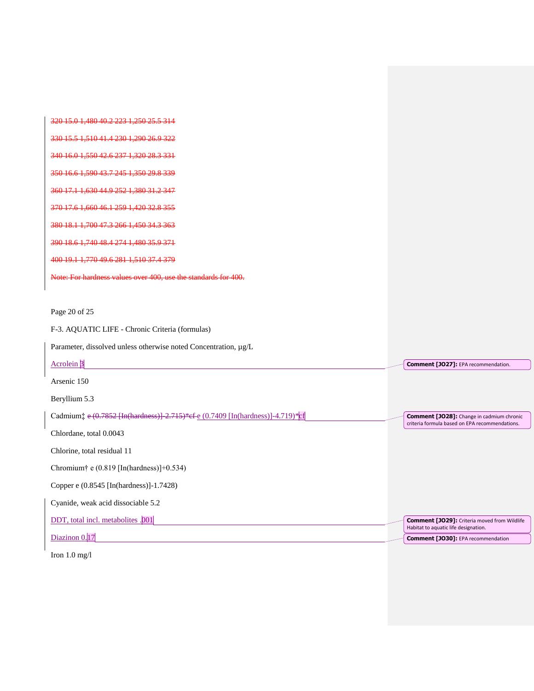| 15.0.1.480.40.2.223.1                                                             |                                                                                                    |
|-----------------------------------------------------------------------------------|----------------------------------------------------------------------------------------------------|
| 330 15 5 1 510 41 4 230 1 290 26 9 322                                            |                                                                                                    |
| 340 16.0 1.550 42.6 237 1.320 28.3 331                                            |                                                                                                    |
| 350 16.6 1.590 43.7 245 1.350 29.8 339                                            |                                                                                                    |
| 360 17.1 1.630 44.9 252 1.380 31.2 347                                            |                                                                                                    |
| 370 17.6 1.660 46.1 259 1.420 32.8 355                                            |                                                                                                    |
| 380 18.1 1.700 47.3 266 1.450 34.3 363                                            |                                                                                                    |
| <u>390 18.6 1.740 48.4 274 1.480 35.9 371</u>                                     |                                                                                                    |
| 400 19.1 1.770 49.6 281 1.510 37.4 379                                            |                                                                                                    |
| Note: For hardness values over 400, use the standards for 400,                    |                                                                                                    |
|                                                                                   |                                                                                                    |
| Page 20 of 25                                                                     |                                                                                                    |
| F-3. AQUATIC LIFE - Chronic Criteria (formulas)                                   |                                                                                                    |
| Parameter, dissolved unless otherwise noted Concentration, µg/L                   |                                                                                                    |
| Acrolein <sup>3</sup>                                                             | Comment [JO27]: EPA recommendation.                                                                |
| Arsenic 150                                                                       |                                                                                                    |
| Beryllium 5.3                                                                     |                                                                                                    |
| Cadmium: e (0.7852 [In(hardness)] 2.715)* cf e (0.7409 [In(hardness)] -4.719)* cf | <b>Comment [JO28]:</b> Change in cadmium chronic<br>criteria formula based on EPA recommendations. |
| Chlordane, total 0.0043                                                           |                                                                                                    |
| Chlorine, total residual 11                                                       |                                                                                                    |
| Chromium <sup>†</sup> e (0.819 [In(hardness)]+0.534)                              |                                                                                                    |
| Copper e (0.8545 [In(hardness)]-1.7428)                                           |                                                                                                    |
| Cyanide, weak acid dissociable 5.2                                                |                                                                                                    |
| DDT, total incl. metabolites .001                                                 | <b>Comment [JO29]:</b> Criteria moved from Wildlife<br>Habitat to aquatic life designation.        |
| Diazinon 0.17                                                                     | Comment [JO30]: EPA recommendation                                                                 |

Iron 1.0 mg/l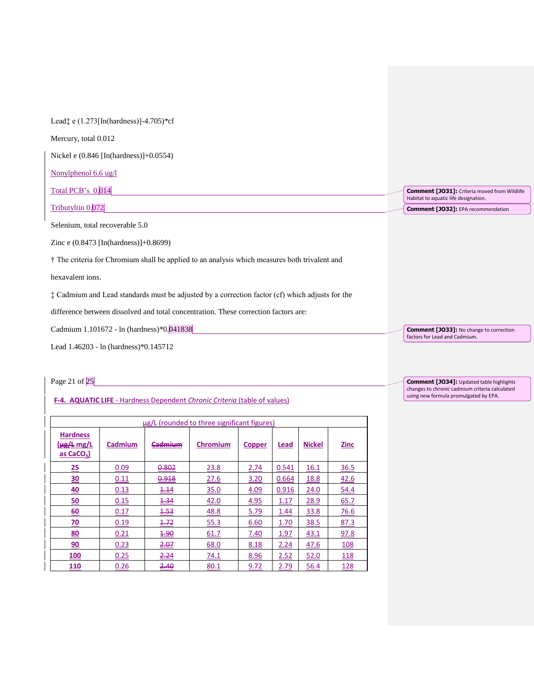| Lead $\ddagger$ e (1.273 [In (hardness)] -4.705)* cf                                            |                                                                                             |
|-------------------------------------------------------------------------------------------------|---------------------------------------------------------------------------------------------|
| Mercury, total 0.012                                                                            |                                                                                             |
| Nickel e $(0.846$ [In(hardness)]+ $0.0554$ )                                                    |                                                                                             |
| Nonylphenol $6.6 \text{ ug}/l$                                                                  |                                                                                             |
| Total PCB's 0.014                                                                               | <b>Comment [JO31]:</b> Criteria moved from Wildlife<br>Habitat to aquatic life designation. |
| Tributyltin 0.072                                                                               | <b>Comment [JO32]:</b> EPA recommendation                                                   |
| Selenium, total recoverable 5.0                                                                 |                                                                                             |
| Zinc e $(0.8473$ [In(hardness)]+0.8699)                                                         |                                                                                             |
| † The criteria for Chromium shall be applied to an analysis which measures both trivalent and   |                                                                                             |
| hexavalent ions.                                                                                |                                                                                             |
| : Cadmium and Lead standards must be adjusted by a correction factor (cf) which adjusts for the |                                                                                             |
| difference between dissolved and total concentration. These correction factors are:             |                                                                                             |
| Cadmium 1.101672 - ln (hardness)*0.041838                                                       | <b>Comment [JO33]:</b> No change to correction                                              |
| Lead 1.46203 - ln (hardness)*0.145712                                                           | factors for Lead and Cadmium.                                                               |

Page 21 of 25

### **F-4. AQUATIC LIFE** - Hardness Dependent *Chronic Criteria* (table of values)

| ug/L (rounded to three significant figures)<br><b>Hardness</b><br>$(\mu g/L mg/L)$<br>Cadmium<br><b>Nickel</b><br><b>Zinc</b><br>Cadmium<br><b>Chromium</b><br>Lead<br><b>Copper</b><br>as CaCO <sub>3</sub> )<br>25<br>0.802<br>23.8<br>36.5<br>0.09<br>2.74<br>0.541<br>16.1<br><u>30</u><br>0.918<br>27.6<br>3.20<br>18.8<br>42.6<br>0.11<br>0.664<br>40<br>35.0<br>24.0<br>54.4<br>0.13<br>4.14<br>4.09<br>0.916 |      |      |      |      |      |      |             |  |  |  |
|----------------------------------------------------------------------------------------------------------------------------------------------------------------------------------------------------------------------------------------------------------------------------------------------------------------------------------------------------------------------------------------------------------------------|------|------|------|------|------|------|-------------|--|--|--|
|                                                                                                                                                                                                                                                                                                                                                                                                                      |      |      |      |      |      |      |             |  |  |  |
|                                                                                                                                                                                                                                                                                                                                                                                                                      |      |      |      |      |      |      |             |  |  |  |
|                                                                                                                                                                                                                                                                                                                                                                                                                      |      |      |      |      |      |      |             |  |  |  |
|                                                                                                                                                                                                                                                                                                                                                                                                                      |      |      |      |      |      |      |             |  |  |  |
| 50                                                                                                                                                                                                                                                                                                                                                                                                                   | 0.15 | 4.34 | 42.0 | 4.95 | 1.17 | 28.9 | 65.7        |  |  |  |
| 60                                                                                                                                                                                                                                                                                                                                                                                                                   | 0.17 | 4.53 | 48.8 | 5.79 | 1.44 | 33.8 | 76.6        |  |  |  |
| <u>70</u>                                                                                                                                                                                                                                                                                                                                                                                                            | 0.19 | 4.72 | 55.3 | 6.60 | 1.70 | 38.5 | 87.3        |  |  |  |
| <u>80</u>                                                                                                                                                                                                                                                                                                                                                                                                            | 0.21 | 1.90 | 61.7 | 7.40 | 1.97 | 43.1 | 97.8        |  |  |  |
| 90                                                                                                                                                                                                                                                                                                                                                                                                                   | 0.23 | 2.07 | 68.0 | 8.18 | 2.24 | 47.6 | 108         |  |  |  |
| 100                                                                                                                                                                                                                                                                                                                                                                                                                  | 0.25 | 2.24 | 74.1 | 8.96 | 2.52 | 52.0 | <u> 118</u> |  |  |  |
| 110                                                                                                                                                                                                                                                                                                                                                                                                                  | 0.26 | 2.40 | 80.1 | 9.72 | 2.79 | 56.4 | <u>128</u>  |  |  |  |

**Comment [JO34]:** Updated table highlights changes to chronic cadmium criteria calculated using new formula promulgated by EPA.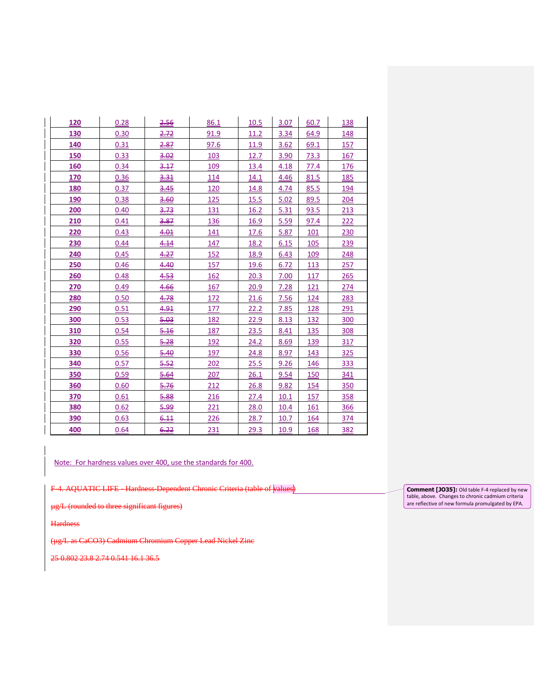| 120 | 0.28 | 2.56 | 86.1 | 10.5        | 3.07 | 60.7       | 138 |
|-----|------|------|------|-------------|------|------------|-----|
| 130 | 0.30 | 2.72 | 91.9 | 11.2        | 3.34 | 64.9       | 148 |
| 140 | 0.31 | 2.87 | 97.6 | 11.9        | 3.62 | 69.1       | 157 |
| 150 | 0.33 | 3.02 | 103  | 12.7        | 3.90 | 73.3       | 167 |
| 160 | 0.34 | 3.17 | 109  | 13.4        | 4.18 | 77.4       | 176 |
| 170 | 0.36 | 3.31 | 114  | 14.1        | 4.46 | 81.5       | 185 |
| 180 | 0.37 | 3.45 | 120  | 14.8        | 4.74 | 85.5       | 194 |
| 190 | 0.38 | 3.60 | 125  | 15.5        | 5.02 | 89.5       | 204 |
| 200 | 0.40 | 3.73 | 131  | 16.2        | 5.31 | 93.5       | 213 |
| 210 | 0.41 | 3.87 | 136  | 16.9        | 5.59 | 97.4       | 222 |
| 220 | 0.43 | 4.01 | 141  | 17.6        | 5.87 | 101        | 230 |
| 230 | 0.44 | 4.14 | 147  | 18.2        | 6.15 | 105        | 239 |
| 240 | 0.45 | 4.27 | 152  | 18.9        | 6.43 | 109        | 248 |
| 250 | 0.46 | 4.40 | 157  | 19.6        | 6.72 | 113        | 257 |
| 260 | 0.48 | 4.53 | 162  | 20.3        | 7.00 | 117        | 265 |
| 270 | 0.49 | 4.66 | 167  | 20.9        | 7.28 | 121        | 274 |
| 280 | 0.50 | 4.78 | 172  | 21.6        | 7.56 | 124        | 283 |
| 290 | 0.51 | 4.91 | 177  | 22.2        | 7.85 | 128        | 291 |
| 300 | 0.53 | 5.03 | 182  | 22.9        | 8.13 | 132        | 300 |
| 310 | 0.54 | 5.16 | 187  | 23.5        | 8.41 | 135        | 308 |
| 320 | 0.55 | 5.28 | 192  | <u>24.2</u> | 8.69 | 139        | 317 |
| 330 | 0.56 | 5.40 | 197  | 24.8        | 8.97 | 143        | 325 |
| 340 | 0.57 | 5.52 | 202  | 25.5        | 9.26 | 146        | 333 |
| 350 | 0.59 | 5.64 | 207  | 26.1        | 9.54 | 150        | 341 |
| 360 | 0.60 | 5.76 | 212  | 26.8        | 9.82 | 154        | 350 |
| 370 | 0.61 | 5.88 | 216  | 27.4        | 10.1 | 157        | 358 |
| 380 | 0.62 | 5.99 | 221  | 28.0        | 10.4 | 161        | 366 |
| 390 | 0.63 | 6.11 | 226  | 28.7        | 10.7 | <u>164</u> | 374 |
| 400 | 0.64 | 6.22 | 231  | 29.3        | 10.9 | 168        | 382 |

Note: For hardness values over 400, use the standards for 400.

F-4. AQUATIC LIFE - Hardness Dependent Chronic Criteria (table of values)

µg/L (rounded to three significant figures)

**Hardness** 

(µg/L as CaCO3) Cadmium Chromium Copper Lead Nickel Zinc

25 0.802 23.8 2.74 0.541 16.1 36.5

**Comment [JO35]:** Old table F-4 replaced by new table, above. Changes to chronic cadmium criteria are reflective of new formula promulgated by EPA.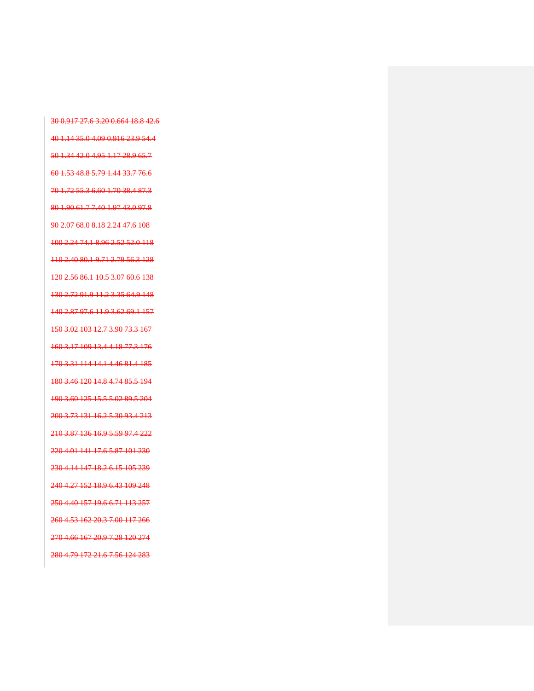30 0.917 27.6 3.20 0.664 18.8 42.6 40 1.14 35.0 4.09 0.916 23.9 54.4 50 1.34 42.0 4.95 1.17 28.9 65.7 60 1.53 48.8 5.79 1.44 33.7 76.6 70 1.72 55.3 6.60 1.70 38.4 87.3 80 1.90 61.7 7.40 1.97 43.0 97.8 90 2.07 68.0 8.18 2.24 47.6 108 100 2.24 74.1 8.96 2.52 52.0 118 110 2.40 80.1 9.71 2.79 56.3 128 120 2.56 86.1 10.5 3.07 60.6 138 130 2.72 91.9 11.2 3.35 64.9 148 140 2.87 97.6 11.9 3.62 69.1 157 150 3.02 103 12.7 3.90 73.3 167 160 3.17 109 13.4 4.18 77.3 176 170 3.31 114 14.1 4.46 81.4 185 180 3.46 120 14.8 4.74 85.5 194 190 3.60 125 15.5 5.02 89.5 204 200 3.73 131 16.2 5.30 93.4 213 210 3.87 136 16.9 5.59 97.4 222 220 4.01 141 17.6 5.87 101 230 230 4.14 147 18.2 6.15 105 239 240 4.27 152 18.9 6.43 109 248 250 4.40 157 19.6 6.71 113 257 260 4.53 162 20.3 7.00 117 266 270 4.66 167 20.9 7.28 120 274 280 4.79 172 21.6 7.56 124 283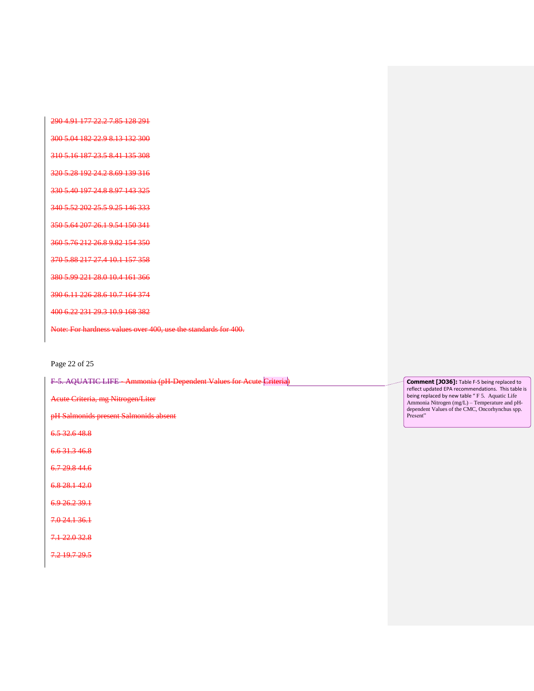290 4.91 177 22.2 7.85 128 291

300 5.04 182 22.9 8.13 132 300

310 5.16 187 23.5 8.41 135 308

320 5.28 192 24.2 8.69 139 316

330 5.40 197 24.8 8.97 143 325

340 5.52 202 25.5 9.25 146 333

350 5.64 207 26.1 9.54 150 341

360 5.76 212 26.8 9.82 154 350

370 5.88 217 27.4 10.1 157 358

380 5.99 221 28.0 10.4 161 366

390 6.11 226 28.6 10.7 164 374

400 6.22 231 29.3 10.9 168 382

Note: For hardness values over 400, use the standards for 400.

#### Page 22 of 25

F-5. AQUATIC LIFE - Ammonia (pH-Dependent Values for Acute Criteria)

Acute Criteria, mg Nitrogen/Liter

pH Salmonids present Salmonids absent

6.5 32.6 48.8

6.6 31.3 46.8

6.7 29.8 44.6

6.8 28.1 42.0

6.9 26.2 39.1

7.0 24.1 36.1

7.1 22.0 32.8

7.2 19.7 29.5

**Comment [JO36]:** Table F-5 being replaced to reflect updated EPA recommendations. This table is being replaced by new table " F 5. Aquatic Life Ammonia Nitrogen (mg/L) – Temperature and pHdependent Values of the CMC, Oncorhynchus spp. Present"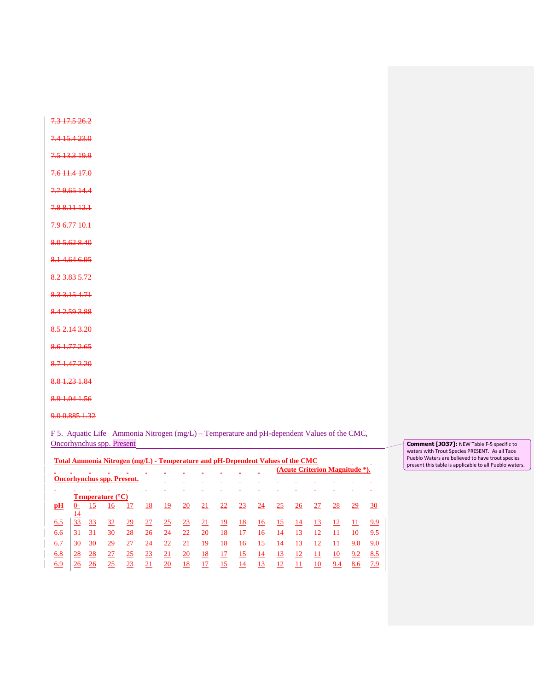7.3 17.5 26.2

7.4 15.4 23.0

7.5 13.3 19.9

7.6 11.4 17.0

7.7 9.65 14.4

7.8 8.11 12.1

7.9 6.77 10.1

8.0 5.62 8.40

8.1 4.64 6.95

8.2 3.83 5.72

8.3 3.15 4.71

8.4 2.59 3.88

8.5 2.14 3.20

- 8.6 1.77 2.65
- 8.7 1.47 2.20
- 8.8 1.23 1.84

8.9 1.04 1.56

9.0 0.885 1.32

F 5. Aquatic Life Ammonia Nitrogen (mg/L) – Temperature and pH-dependent Values of the CMC, Oncorhynchus spp. Present

|                                   |    |    | Total Ammonia Nitrogen (mg/L) - Temperature and pH-Dependent Values of the CMC |    |    |           |    |    |    |    |    |    |    |    |     |                                |     |
|-----------------------------------|----|----|--------------------------------------------------------------------------------|----|----|-----------|----|----|----|----|----|----|----|----|-----|--------------------------------|-----|
|                                   |    |    |                                                                                |    |    |           |    |    |    |    |    |    |    |    |     | (Acute Criterion Magnitude *). |     |
| <b>Oncorhynchus spp. Present.</b> |    |    |                                                                                |    |    |           |    |    |    |    |    |    |    |    |     |                                |     |
|                                   |    |    |                                                                                |    |    |           |    |    |    |    |    |    |    |    |     |                                |     |
|                                   |    |    | <b>Temperature</b> (°C)                                                        |    |    |           |    |    |    |    |    |    |    |    |     |                                |     |
| рH                                |    |    | 16                                                                             | 17 | 18 | 19        | 20 | 21 | 22 | 23 | 24 | 25 | 26 | 27 | 28  | 29                             | 30  |
|                                   | 14 |    |                                                                                |    |    |           |    |    |    |    |    |    |    |    |     |                                |     |
| 6.5                               | 33 | 33 | 32                                                                             | 29 | 27 | <u>25</u> | 23 | 21 | 19 | 18 | 16 | 15 | 14 | 13 | 12  | 11                             | 9.9 |
| 6.6                               | 31 | 31 | 30                                                                             | 28 | 26 | 24        | 22 | 20 | 18 | 17 | 16 | 14 | 13 | 12 | 11  | 10                             | 9.5 |
| 6.7                               | 30 | 30 | 29                                                                             | 27 | 24 | 22        | 21 | 19 | 18 | 16 | 15 | 14 | 13 | 12 | 11  | 9.8                            | 9.0 |
| 6.8                               | 28 | 28 | 27                                                                             | 25 | 23 | 21        | 20 | 18 | 17 | 15 | 14 | 13 | 12 | 11 | 10  | 9.2                            | 8.5 |
| 6.9                               | 26 | 26 | 25                                                                             | 23 | 21 | 20        | 18 | 17 | 15 | 14 | 13 | 12 | 11 | 10 | 9.4 | 8.6                            | 7.9 |

**Comment [JO37]:** NEW Table F-5 specific to waters with Trout Species PRESENT. As all Taos Pueblo Waters are believed to have trout species present this table is applicable to all Pueblo waters.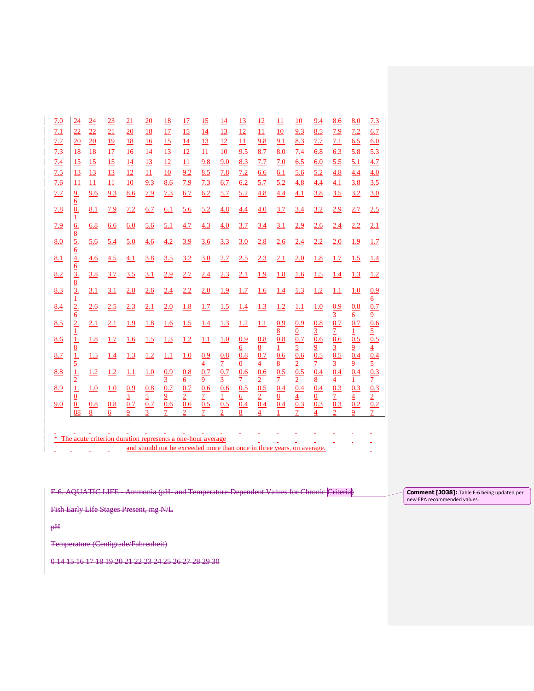| 7.0 | $\overline{24}$                                            | 24       | 23                                                         | 21                         | 20              | <b>18</b>                          | 17                    | 15                                 | 14                                              | 13                           | 12                                                                    | 11                     | 10                    | 9.4                        | 8.6                        | 8.0                        | 7.3                                     |
|-----|------------------------------------------------------------|----------|------------------------------------------------------------|----------------------------|-----------------|------------------------------------|-----------------------|------------------------------------|-------------------------------------------------|------------------------------|-----------------------------------------------------------------------|------------------------|-----------------------|----------------------------|----------------------------|----------------------------|-----------------------------------------|
| 7.1 | 22                                                         | 22       | 21                                                         | 20                         | 18              | 17                                 | 15                    | 14                                 | 13                                              | 12                           | $\overline{11}$                                                       | 10                     | 9.3                   | 8.5                        | 7.9                        | 7.2                        | 6.7                                     |
| 7.2 | 20                                                         | 20       | <u>19</u>                                                  | 18                         | 16              | 15                                 | 14                    | 13                                 | 12                                              | 11                           | 9.8                                                                   | 9.1                    | 8.3                   | 7.7                        | 7.1                        | 6.5                        | 6.0                                     |
| 7.3 | <u>18</u>                                                  | 18       | 17                                                         | 16                         | 14              | 13                                 | 12                    | 11                                 | 10                                              | 9.5                          | 8.7                                                                   | 8.0                    | 7.4                   | 6.8                        | 6.3                        | 5.8                        | 5.3                                     |
| 7.4 | 15                                                         | 15       | 15                                                         | 14                         | 13              | 12                                 | 11                    | 9.8                                | 9.0                                             | 8.3                          | 7.7                                                                   | 7.0                    | 6.5                   | 6.0                        | 5.5                        | 5.1                        | 4.7                                     |
| 7.5 | 13                                                         | 13       | 13                                                         | 12                         | 11              | 10                                 | 9.2                   | 8.5                                | 7.8                                             | 7.2                          | 6.6                                                                   | 6.1                    | 5.6                   | 5.2                        | 4.8                        | 4.4                        | 4.0                                     |
| 7.6 | 11                                                         | 11       | 11                                                         | 10                         | 9.3             | 8.6                                | 7.9                   | 7.3                                | 6.7                                             | 6.2                          | 5.7                                                                   | 5.2                    | 4.8                   | 4.4                        | 4.1                        | 3.8                        | 3.5                                     |
| 7.7 | $rac{9.6}{6}$                                              | 9.6      | 9.3                                                        | 8.6                        | 7.9             | 7.3                                | 6.7                   | 6.2                                | 5.7                                             | 5.2                          | 4.8                                                                   | 4.4                    | 4.1                   | 3.8                        | 3.5                        | 3.2                        | 3.0                                     |
| 7.8 |                                                            | 8.1      | 7.9                                                        | 7.2                        | 6.7             | 6.1                                | 5.6                   | 5.2                                | 4.8                                             | 4.4                          | 4.0                                                                   | 3.7                    | 3.4                   | 3.2                        | 2.9                        | 2.7                        | 2.5                                     |
| 7.9 | $\frac{1}{6}$                                              | 6.8      | 6.6                                                        | 6.0                        | 5.6             | 5.1                                | 4.7                   | 4.3                                | 4.0                                             | 3.7                          | 3.4                                                                   | 3.1                    | 2.9                   | 2.6                        | 2.4                        | 2.2                        | 2.1                                     |
| 8.0 | $\frac{8}{5}$ .<br>$\frac{6}{4}$ .                         | 5.6      | 5.4                                                        | 5.0                        | 4.6             | 4.2                                | 3.9                   | 3.6                                | 3.3                                             | 3.0                          | 2.8                                                                   | 2.6                    | 2.4                   | 2.2                        | 2.0                        | 1.9                        | 1.7                                     |
| 8.1 |                                                            | 4.6      | 4.5                                                        | 4.1                        | 3.8             | 3.5                                | 3.2                   | 3.0                                | 2.7                                             | 2.5                          | 2.3                                                                   | 2.1                    | 2.0                   | 1.8                        | 1.7                        | 1.5                        | 1.4                                     |
| 8.2 | $rac{6}{\frac{3}{2}}$<br>$rac{3}{2}$                       | 3.8      | 3.7                                                        | 3.5                        | 3.1             | 2.9                                | 2.7                   | 2.4                                | 2.3                                             | 2.1                          | 1.9                                                                   | 1.8                    | 1.6                   | 1.5                        | 1.4                        | 1.3                        | 1.2                                     |
| 8.3 |                                                            | 3.1      | 3.1                                                        | 2.8                        | 2.6             | 2.4                                | 2.2                   | 2.0                                | 1.9                                             | 1.7                          | 1.6                                                                   | <u>1.4</u>             | 1.3                   | 1.2                        | 1.1                        | 1.0                        | 0.9                                     |
| 8.4 | $\frac{1}{2}$ .                                            | 2.6      | 2.5                                                        | 2.3                        | 2.1             | 2.0                                | 1.8                   | 1.7                                | 1.5                                             | 1.4                          | 1.3                                                                   | 1.2                    | 1.1                   | 1.0                        | 0.9<br>$\overline{3}$      | 0.8<br>6                   | $\overline{6}$<br>0.7                   |
| 8.5 | 2.                                                         | 2.1      | 2.1                                                        | 1.9                        | 1.8             | 1.6                                | 1.5                   | 1.4                                | 1.3                                             | 1.2                          | 1.1                                                                   | 0.9                    | 0.9                   | 0.8                        | 0.7                        | 0.7                        | $\overline{9}$<br>0.6                   |
| 8.6 | $\frac{1}{8}$ $\frac{1}{16}$ $\frac{5}{16}$ $\frac{1}{16}$ | 1.8      | 1.7                                                        | 1.6                        | 1.5             | 1.3                                | 1.2                   | 1.1                                | 1.0                                             | 0.9                          | 0.8                                                                   | $\underline{8}$<br>0.8 | $\frac{0}{0.7}$       | $\overline{3}$<br>0.6      | $\overline{1}$<br>0.6      | $\mathbf{1}$<br>0.5        | $\frac{5}{0.5}$                         |
| 8.7 |                                                            | 1.5      | <u>1.4</u>                                                 | 1.3                        | 1.2             | 1.1                                | 1.0                   | 0.9                                | 0.8                                             | $6 \overline{6}$<br>0.8      | $\frac{8}{2}$<br>$\overline{0.7}$                                     | $\overline{1}$<br>0.6  | $\frac{5}{0.6}$       | $\frac{9}{0.5}$            | $\frac{3}{0.5}$            | $\frac{9}{0.4}$            | $\frac{4}{0.4}$                         |
| 8.8 |                                                            | 1.2      | 1.2                                                        | 1.1                        | 1.0             | 0.9                                | 0.8                   | $\overline{4}$<br>$\overline{0.7}$ | $\overline{2}$<br>0.7                           | $\overline{0}$<br>0.6        | $\overline{4}$<br>0.6                                                 | $\overline{8}$<br>0.5  | $\frac{2}{0.5}$       | $\frac{7}{0.4}$            | $\frac{3}{0.4}$            | $\frac{9}{0.4}$            | $\frac{5}{0.3}$                         |
| 8.9 | $\frac{2}{1}$                                              | 1.0      | 1.0                                                        | 0.9                        | $\frac{0.8}{5}$ | $\overline{3}$<br>$\overline{0.7}$ | <u>6</u><br>0.7       | $\frac{9}{0.6}$                    | $\overline{3}$<br>$\overline{0.6}$              | $\overline{1}$<br>0.5        | $\frac{2}{0.5}$                                                       | $\frac{7}{0.4}$        | $\frac{2}{0.4}$       | $\overline{8}$<br>0.4      | $\frac{4}{0.3}$            | $\mathbf 1$<br>0.3         | $\frac{7}{0.3}$                         |
| 9.0 | $\overline{0}$<br>0.<br>88                                 | 0.8<br>8 | 0.8<br>6                                                   | $\overline{3}$<br>0.7<br>9 | 0.7             | $\overline{6}$<br>0.6              | $\overline{2}$<br>0.6 | $\overline{7}$<br>0.5              | $\mathbf{1}$<br>0.5<br>$\overline{\mathcal{L}}$ | $6 \overline{6}$<br>0.4<br>8 | $\overline{2}$<br>0.4<br>4                                            | 8 <sup>2</sup><br>0.4  | $\overline{4}$<br>0.3 | $\overline{0}$<br>0.3<br>4 | $\overline{7}$<br>0.3<br>2 | $\overline{4}$<br>0.2<br>9 | $\overline{2}$<br>0.2<br>$\overline{7}$ |
|     |                                                            |          |                                                            |                            |                 |                                    |                       |                                    |                                                 |                              |                                                                       |                        |                       |                            |                            |                            |                                         |
|     |                                                            |          |                                                            |                            |                 |                                    |                       |                                    |                                                 |                              |                                                                       |                        |                       |                            |                            |                            |                                         |
| *   |                                                            |          | The acute criterion duration represents a one-hour average |                            |                 |                                    |                       |                                    |                                                 |                              |                                                                       |                        |                       |                            |                            |                            |                                         |
|     |                                                            |          |                                                            |                            |                 |                                    |                       |                                    |                                                 |                              | and should not be exceeded more than once in three years, on average. |                        |                       |                            |                            |                            |                                         |

F-6. AQUATIC LIFE - Ammonia (pH- and Temperature-Dependent Values for Chronic Criteria)

Fish Early Life Stages Present, mg N/L

pH

Temperature (Centigrade/Fahrenheit)

0 14 15 16 17 18 19 20 21 22 23 24 25 26 27 28 29 30

**Comment [JO38]:** Table F-6 being updated per new EPA recommended values.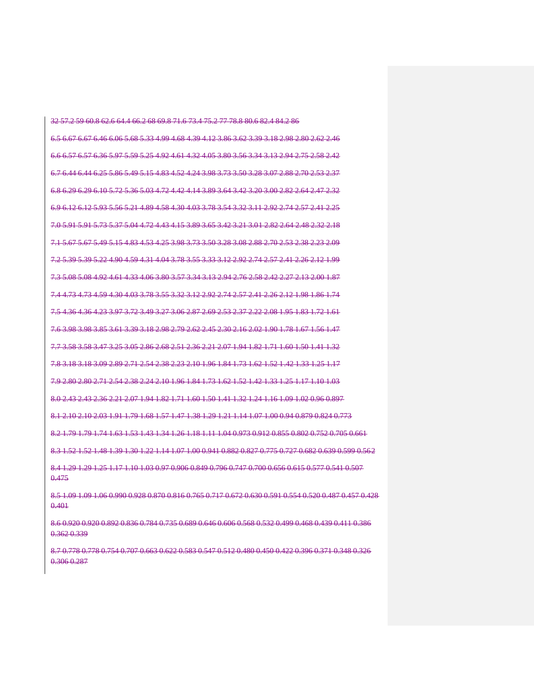32 57.2 59 60.8 62.6 64.4 66.2 68 69.8 71.6 73.4 75.2 77 78.8 80.6 82.4 84.2 86 6.5 6.67 6.67 6.46 6.06 5.68 5.33 4.99 4.68 4.39 4.12 3.86 3.62 3.39 3.18 2.98 2.80 2.62 2.46 6.6 6.57 6.57 6.36 5.97 5.59 5.25 4.92 4.61 4.32 4.05 3.80 3.56 3.34 3.13 2.94 2.75 2.58 2.42 6.7 6.44 6.44 6.25 5.86 5.49 5.15 4.83 4.52 4.24 3.98 3.73 3.50 3.28 3.07 2.88 2.70 2.53 2.37 6.8 6.29 6.29 6.10 5.72 5.36 5.03 4.72 4.42 4.14 3.89 3.64 3.42 3.20 3.00 2.82 2.64 2.47 2.32 6.9 6.12 6.12 5.93 5.56 5.21 4.89 4.58 4.30 4.03 3.78 3.54 3.32 3.11 2.92 2.74 2.57 2.41 2.25 7.0 5.91 5.91 5.73 5.37 5.04 4.72 4.43 4.15 3.89 3.65 3.42 3.21 3.01 2.82 2.64 2.48 2.32 2.18 7.1 5.67 5.67 5.49 5.15 4.83 4.53 4.25 3.98 3.73 3.50 3.28 3.08 2.88 2.70 2.53 2.38 2.23 2.09 7.2 5.39 5.39 5.22 4.90 4.59 4.31 4.04 3.78 3.55 3.33 3.12 2.92 2.74 2.57 2.41 2.26 2.12 1.99 7.3 5.08 5.08 4.92 4.61 4.33 4.06 3.80 3.57 3.34 3.13 2.94 2.76 2.58 2.42 2.27 2.13 2.00 1.87 7.4 4.73 4.73 4.59 4.30 4.03 3.78 3.55 3.32 3.12 2.92 2.74 2.57 2.41 2.26 2.12 1.98 1.86 1.74 7.5 4.36 4.36 4.23 3.97 3.72 3.49 3.27 3.06 2.87 2.69 2.53 2.37 2.22 2.08 1.95 1.83 1.72 1.61 7.6 3.98 3.98 3.85 3.61 3.39 3.18 2.98 2.79 2.62 2.45 2.30 2.16 2.02 1.90 1.78 1.67 1.56 1.47 7.7 3.58 3.58 3.47 3.25 3.05 2.86 2.68 2.51 2.36 2.21 2.07 1.94 1.82 1.71 1.60 1.50 1.41 1.32 7.8 3.18 3.18 3.09 2.89 2.71 2.54 2.38 2.23 2.10 1.96 1.84 1.73 1.62 1.52 1.42 1.33 1.25 1.17 7.9 2.80 2.80 2.71 2.54 2.38 2.24 2.10 1.96 1.84 1.73 1.62 1.52 1.42 1.33 1.25 1.17 1.10 1.03 8.0 2.43 2.43 2.36 2.21 2.07 1.94 1.82 1.71 1.60 1.50 1.41 1.32 1.24 1.16 1.09 1.02 0.96 0.897 8.1 2.10 2.10 2.03 1.91 1.79 1.68 1.57 1.47 1.38 1.29 1.21 1.14 1.07 1.00 0.94 0.879 0.824 0.773 8.2 1.79 1.79 1.74 1.63 1.53 1.43 1.34 1.26 1.18 1.11 1.04 0.973 0.912 0.855 0.802 0.752 0.705 0.661 8.3 1.52 1.52 1.48 1.39 1.30 1.22 1.14 1.07 1.00 0.941 0.882 0.827 0.775 0.727 0.682 0.639 0.599 0.562 8.4 1.29 1.29 1.25 1.17 1.10 1.03 0.97 0.906 0.849 0.796 0.747 0.700 0.656 0.615 0.577 0.541 0.507 0.475

8.5 1.09 1.09 1.06 0.990 0.928 0.870 0.816 0.765 0.717 0.672 0.630 0.591 0.554 0.520 0.487 0.457 0.428 0.401

8.6 0.920 0.920 0.892 0.836 0.784 0.735 0.689 0.646 0.606 0.568 0.532 0.499 0.468 0.439 0.411 0.386 0.362 0.339

8.7 0.778 0.778 0.754 0.707 0.663 0.622 0.583 0.547 0.512 0.480 0.450 0.422 0.396 0.371 0.348 0.326 0.306 0.287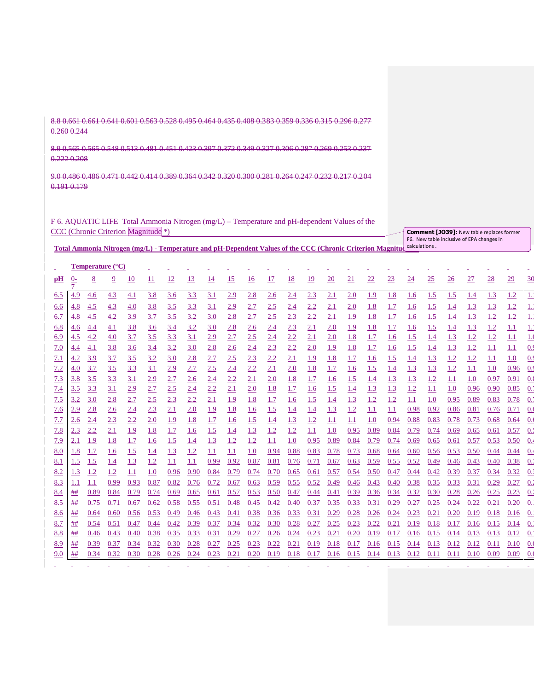8.8 0.661 0.661 0.641 0.601 0.563 0.528 0.495 0.464 0.435 0.408 0.383 0.359 0.336 0.315 0.296 0.277 0.260 0.244

8.9 0.565 0.565 0.548 0.513 0.481 0.451 0.423 0.397 0.372 0.349 0.327 0.306 0.287 0.269 0.253 0.237 0.222 0.208

9.0 0.486 0.486 0.471 0.442 0.414 0.389 0.364 0.342 0.320 0.300 0.281 0.264 0.247 0.232 0.217 0.204 0.191 0.179

F 6. AQUATIC LIFE Total Ammonia Nitrogen (mg/L) – Temperature and pH-dependent Values of the CCC (Chronic Criterion Magnitude \*)

|     | <b>CCC</b> (Chronic Criterion Magnitude <sup>*</sup> )                                                     |      |                                  |      |            |      |            |            |      |           |      |            |           |           | <b>Comment [JO39]: New table replaces former</b><br>F6. New table inclusive of EPA changes in |               |            |                 |            |            |      |                 |      |                  |
|-----|------------------------------------------------------------------------------------------------------------|------|----------------------------------|------|------------|------|------------|------------|------|-----------|------|------------|-----------|-----------|-----------------------------------------------------------------------------------------------|---------------|------------|-----------------|------------|------------|------|-----------------|------|------------------|
|     | Total Ammonia Nitrogen (mg/L) - Temperature and pH-Dependent Values of the CCC (Chronic Criterion Magnitud |      |                                  |      |            |      |            |            |      |           |      |            |           |           |                                                                                               | calculations. |            |                 |            |            |      |                 |      |                  |
|     |                                                                                                            |      | <b>Temperature</b> $(^{\circ}C)$ |      |            |      |            |            |      |           |      |            |           |           |                                                                                               |               |            |                 |            |            |      |                 |      |                  |
|     |                                                                                                            |      |                                  |      |            |      |            |            |      |           |      |            |           |           |                                                                                               |               |            |                 |            |            |      |                 |      |                  |
| pН  | $0-$                                                                                                       | 8    | $\overline{2}$                   | 10   | 11         | 12   | 13         | <u>14</u>  | 15   | <u>16</u> | 17   | <u>18</u>  | <u>19</u> | <b>20</b> | 21                                                                                            | <u>22</u>     | 23         | $\overline{24}$ | 25         | 26         | 27   | $\overline{28}$ | 29   | 30               |
| 6.5 | 4.9                                                                                                        | 4.6  | 4.3                              | 4.1  | 3.8        | 3.6  | 3.3        | 3.1        | 2.9  | 2.8       | 2.6  | 2.4        | 2.3       | 2.1       | 2.0                                                                                           | 1.9           | 1.8        | 1.6             | 1.5        | 1.5        | 1.4  | 1.3             | 1.2  | $\perp$          |
| 6.6 | 4.8                                                                                                        | 4.5  | 4.3                              | 4.0  | 3.8        | 3.5  | 3.3        | <u>3.1</u> | 2.9  | 2.7       | 2.5  | <u>2.4</u> | 2.2       | 2.1       | 2.0                                                                                           | 1.8           | 1.7        | 1.6             | 1.5        | <u>1.4</u> | 1.3  | 1.3             | 1.2  | <u>1.</u>        |
| 6.7 | 4.8                                                                                                        | 4.5  | 4.2                              | 3.9  | 3.7        | 3.5  | 3.2        | 3.0        | 2.8  | 2.7       | 2.5  | 2.3        | 2.2       | 2.1       | 1.9                                                                                           | 1.8           | 1.7        | 1.6             | 1.5        | 1.4        | 1.3  | 1.2             | 1.2  | $\overline{1}$ . |
| 6.8 | 4.6                                                                                                        | 4.4  | 4.1                              | 3.8  | 3.6        | 3.4  | 3.2        | 3.0        | 2.8  | 2.6       | 2.4  | 2.3        | 2.1       | 2.0       | <u>1.9</u>                                                                                    | <u>1.8</u>    | 1.7        | <u>1.6</u>      | 1.5        | <u>1.4</u> | 1.3  | 1.2             | 1.1  | $\frac{1}{2}$    |
| 6.9 | 4.5                                                                                                        | 4.2  | 4.0                              | 3.7  | 3.5        | 3.3  | 3.1        | 2.9        | 2.7  | 2.5       | 2.4  | 2.2        | 2.1       | 2.0       | 1.8                                                                                           | 1.7           | 1.6        | 1.5             | 1.4        | 1.3        | 1.2  | 1.2             | 1.1  | 1.0              |
| 7.0 | 4.4                                                                                                        | 4.1  | 3.8                              | 3.6  | 3.4        | 3.2  | 3.0        | 2.8        | 2.6  | 2.4       | 2.3  | 2.2        | 2.0       | 1.9       | 1.8                                                                                           | 1.7           | 1.6        | 1.5             | <u>1.4</u> | 1.3        | 1.2  | 1.1             | 1.1  | 0.9              |
| 7.1 | 4.2                                                                                                        | 3.9  | 3.7                              | 3.5  | 3.2        | 3.0  | 2.8        | 2.7        | 2.5  | 2.3       | 2.2  | 2.1        | 1.9       | 1.8       | 1.7                                                                                           | 1.6           | <u>1.5</u> | 1.4             | 1.3        | 1.2        | 1.2  | 1.1             | 1.0  | 0.9              |
| 7.2 | 4.0                                                                                                        | 3.7  | 3.5                              | 3.3  | 3.1        | 2.9  | 2.7        | 2.5        | 2.4  | 2.2       | 2.1  | 2.0        | 1.8       | 1.7       | 1.6                                                                                           | 1.5           | 1.4        | 1.3             | 1.3        | 1.2        | 1.1  | 1.0             | 0.96 | 0.9              |
| 7.3 | 3.8                                                                                                        | 3.5  | 3.3                              | 3.1  | 2.9        | 2.7  | 2.6        | 2.4        | 2.2  | 2.1       | 2.0  | 1.8        | 1.7       | 1.6       | 1.5                                                                                           | 1.4           | 1.3        | 1.3             | <u>1.2</u> | 1.1        | 1.0  | 0.97            | 0.91 | 0.3              |
| 7.4 | 3.5                                                                                                        | 3.3  | 3.1                              | 2.9  | 2.7        | 2.5  | 2.4        | 2.2        | 2.1  | 2.0       | 1.8  | 1.7        | 1.6       | 1.5       | 1.4                                                                                           | 1.3           | 1.3        | 1.2             | 1.1        | 1.0        | 0.96 | 0.90            | 0.85 | 0.2              |
| 7.5 | 3.2                                                                                                        | 3.0  | 2.8                              | 2.7  | 2.5        | 2.3  | 2.2        | 2.1        | 1.9  | 1.8       | 1.7  | 1.6        | 1.5       | 1.4       | 1.3                                                                                           | 1.2           | 1.2        | 1.1             | 1.0        | 0.95       | 0.89 | 0.83            | 0.78 | 0.               |
| 7.6 | 2.9                                                                                                        | 2.8  | 2.6                              | 2.4  | 2.3        | 2.1  | 2.0        | 1.9        | 1.8  | 1.6       | 1.5  | 1.4        | 1.4       | 1.3       | 1.2                                                                                           | 1.1           | 1.1        | 0.98            | 0.92       | 0.86       | 0.81 | 0.76            | 0.71 | 0.0              |
| 7.7 | 2.6                                                                                                        | 2.4  | 2.3                              | 2.2  | 2.0        | 1.9  | 1.8        | 1.7        | 1.6  | 1.5       | 1.4  | 1.3        | 1.2       | 1.1       | 1.1                                                                                           | 1.0           | 0.94       | 0.88            | 0.83       | 0.78       | 0.73 | 0.68            | 0.64 | 0.               |
| 7.8 | 2.3                                                                                                        | 2.2  | 2.1                              | 1.9  | 1.8        | 1.7  | <u>1.6</u> | 1.5        | 1.4  | 1.3       | 1.2  | 1.2        | 1.1       | 1.0       | 0.95                                                                                          | 0.89          | 0.84       | 0.79            | 0.74       | 0.69       | 0.65 | 0.61            | 0.57 | 0.3              |
| 7.9 | 2.1                                                                                                        | 1.9  | 1.8                              | 1.7  | 1.6        | 1.5  | 1.4        | 1.3        | 1.2  | 1.2       | 1.1  | 1.0        | 0.95      | 0.89      | 0.84                                                                                          | 0.79          | 0.74       | 0.69            | 0.65       | 0.61       | 0.57 | 0.53            | 0.50 | 0.               |
| 8.0 | 1.8                                                                                                        | 1.7  | 1.6                              | 1.5  | <u>1.4</u> | 1.3  | 1.2        | 1.1        | 1.1  | 1.0       | 0.94 | 0.88       | 0.83      | 0.78      | 0.73                                                                                          | 0.68          | 0.64       | 0.60            | 0.56       | 0.53       | 0.50 | 0.44            | 0.44 | 0.4              |
| 8.1 | 1.5                                                                                                        | 1.5  | 1.4                              | 1.3  | 1.2        | 1.1  | 1.1        | 0.99       | 0.92 | 0.87      | 0.81 | 0.76       | 0.71      | 0.67      | 0.63                                                                                          | 0.59          | 0.55       | 0.52            | 0.49       | 0.46       | 0.43 | 0.40            | 0.38 | $0$ .            |
| 8.2 | 1.3                                                                                                        | 1.2  | 1.2                              | 1.1  | 1.0        | 0.96 | 0.90       | 0.84       | 0.79 | 0.74      | 0.70 | 0.65       | 0.61      | 0.57      | 0.54                                                                                          | 0.50          | 0.47       | 0.44            | 0.42       | 0.39       | 0.37 | 0.34            | 0.32 | $\overline{0}$ . |
| 8.3 | 1.1                                                                                                        | 1.1  | 0.99                             | 0.93 | 0.87       | 0.82 | 0.76       | 0.72       | 0.67 | 0.63      | 0.59 | 0.55       | 0.52      | 0.49      | 0.46                                                                                          | 0.43          | 0.40       | 0.38            | 0.35       | 0.33       | 0.31 | 0.29            | 0.27 | 0.               |
| 8.4 | ##                                                                                                         | 0.89 | 0.84                             | 0.79 | 0.74       | 0.69 | 0.65       | 0.61       | 0.57 | 0.53      | 0.50 | 0.47       | 0.44      | 0.41      | 0.39                                                                                          | 0.36          | 0.34       | 0.32            | 0.30       | 0.28       | 0.26 | 0.25            | 0.23 | $0$ .            |
| 8.5 | ##                                                                                                         | 0.75 | 0.71                             | 0.67 | 0.62       | 0.58 | 0.55       | 0.51       | 0.48 | 0.45      | 0.42 | 0.40       | 0.37      | 0.35      | 0.33                                                                                          | 0.31          | 0.29       | 0.27            | 0.25       | 0.24       | 0.22 | 0.21            | 0.20 | 0.               |
| 8.6 | ##                                                                                                         | 0.64 | 0.60                             | 0.56 | 0.53       | 0.49 | 0.46       | 0.43       | 0.41 | 0.38      | 0.36 | 0.33       | 0.31      | 0.29      | 0.28                                                                                          | 0.26          | 0.24       | 0.23            | 0.21       | 0.20       | 0.19 | 0.18            | 0.16 | 0.               |
| 8.7 | ##                                                                                                         | 0.54 | 0.51                             | 0.47 | 0.44       | 0.42 | 0.39       | 0.37       | 0.34 | 0.32      | 0.30 | 0.28       | 0.27      | 0.25      | 0.23                                                                                          | 0.22          | 0.21       | 0.19            | 0.18       | 0.17       | 0.16 | 0.15            | 0.14 | 0.1              |
| 8.8 | ##                                                                                                         | 0.46 | 0.43                             | 0.40 | 0.38       | 0.35 | 0.33       | 0.31       | 0.29 | 0.27      | 0.26 | 0.24       | 0.23      | 0.21      | 0.20                                                                                          | 0.19          | 0.17       | 0.16            | 0.15       | 0.14       | 0.13 | 0.13            | 0.12 | 0.               |
| 8.9 | ##                                                                                                         | 0.39 | 0.37                             | 0.34 | 0.32       | 0.30 | 0.28       | 0.27       | 0.25 | 0.23      | 0.22 | 0.21       | 0.19      | 0.18      | 0.17                                                                                          | 0.16          | 0.15       | 0.14            | 0.13       | 0.12       | 0.12 | 0.11            | 0.10 | $\overline{0}$ . |
| 9.0 | ##                                                                                                         | 0.34 | 0.32                             | 0.30 | 0.28       | 0.26 | 0.24       | 0.23       | 0.21 | 0.20      | 0.19 | 0.18       | 0.17      | 0.16      | 0.15                                                                                          | 0.14          | 0.13       | 0.12            | 0.11       | 0.11       | 0.10 | 0.09            | 0.09 | 0.               |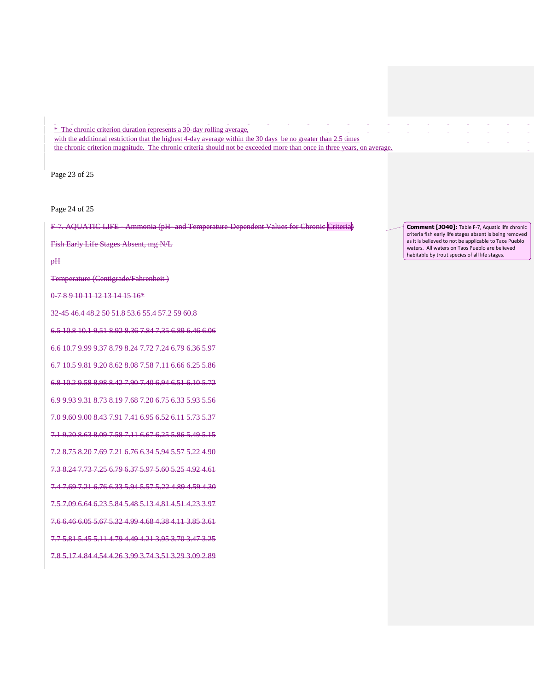#### nia. i. **A Carl**  $\sim 10^{-1}$ ο.  $\mathcal{L}_{\mathcal{A}}$ ο. i. i.  $\mathbf{r}$ \* The chronic criterion duration represents a 30-day rolling average, with the additional restriction that the highest 4-day average within the 30 days be no greater than 2.5 times the chronic criterion magnitude. The chronic criteria should not be exceeded more than once in three years, on average.

Page 23 of 25

Page 24 of 25

F-7. AQUATIC LIFE - Ammonia (pH- and Temperature-Dependent Values for Chronic Criteria)

Fish Early Life Stages Absent, mg N/L

pH

Temperature (Centigrade/Fahrenheit )

0-7 8 9 10 11 12 13 14 15 16\*

32-45 46.4 48.2 50 51.8 53.6 55.4 57.2 59 60.8

6.5 10.8 10.1 9.51 8.92 8.36 7.84 7.35 6.89 6.46 6.06

6.6 10.7 9.99 9.37 8.79 8.24 7.72 7.24 6.79 6.36 5.97

6.7 10.5 9.81 9.20 8.62 8.08 7.58 7.11 6.66 6.25 5.86

6.8 10.2 9.58 8.98 8.42 7.90 7.40 6.94 6.51 6.10 5.72

6.9 9.93 9.31 8.73 8.19 7.68 7.20 6.75 6.33 5.93 5.56

7.0 9.60 9.00 8.43 7.91 7.41 6.95 6.52 6.11 5.73 5.37

7.1 9.20 8.63 8.09 7.58 7.11 6.67 6.25 5.86 5.49 5.15

7.2 8.75 8.20 7.69 7.21 6.76 6.34 5.94 5.57 5.22 4.90

7.3 8.24 7.73 7.25 6.79 6.37 5.97 5.60 5.25 4.92 4.61

7.4 7.69 7.21 6.76 6.33 5.94 5.57 5.22 4.89 4.59 4.30

7.5 7.09 6.64 6.23 5.84 5.48 5.13 4.81 4.51 4.23 3.97

7.6 6.46 6.05 5.67 5.32 4.99 4.68 4.38 4.11 3.85 3.61

7.7 5.81 5.45 5.11 4.79 4.49 4.21 3.95 3.70 3.47 3.25

7.8 5.17 4.84 4.54 4.26 3.99 3.74 3.51 3.29 3.09 2.89

**Comment [JO40]:** Table F-7, Aquatic life chronic criteria fish early life stages absent is being removed as it is believed to not be applicable to Taos Pueblo waters. All waters on Taos Pueblo are believed habitable by trout species of all life stages.

 $\overline{a}$ 

 $\Delta$ 

 $\sim$ 

i.

 $\sim$ 

 $\mathbf{r}$ 

ä,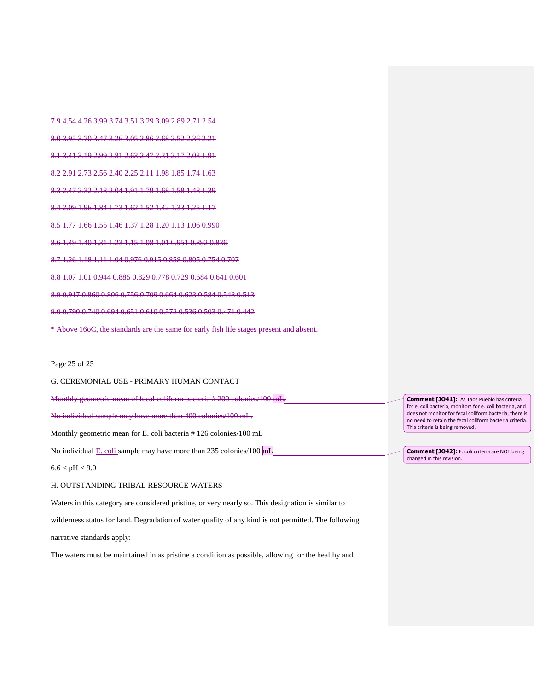7.9 4.54 4.26 3.99 3.74 3.51 3.29 3.09 2.89 2.71 2.54 8.0 3.95 3.70 3.47 3.26 3.05 2.86 2.68 2.52 2.36 2.21 8.1 3.41 3.19 2.99 2.81 2.63 2.47 2.31 2.17 2.03 1.91 8.2 2.91 2.73 2.56 2.40 2.25 2.11 1.98 1.85 1.74 1.63 8.3 2.47 2.32 2.18 2.04 1.91 1.79 1.68 1.58 1.48 1.39 8.4 2.09 1.96 1.84 1.73 1.62 1.52 1.42 1.33 1.25 1.17 8.5 1.77 1.66 1.55 1.46 1.37 1.28 1.20 1.13 1.06 0.990 8.6 1.49 1.40 1.31 1.23 1.15 1.08 1.01 0.951 0.892 0.836 8.7 1.26 1.18 1.11 1.04 0.976 0.915 0.858 0.805 0.754 0.707 8.8 1.07 1.01 0.944 0.885 0.829 0.778 0.729 0.684 0.641 0.601 8.9 0.917 0.860 0.806 0.756 0.709 0.664 0.623 0.584 0.548 0.513 9.0 0.790 0.740 0.694 0.651 0.610 0.572 0.536 0.503 0.471 0.442 \* Above 16oC, the standards are the same for early fish life stages present and absent.

#### Page 25 of 25

#### G. CEREMONIAL USE - PRIMARY HUMAN CONTACT

Monthly geometric mean of fecal coliform bacteria # 200 colonies/100 mL.

No individual sample may have more than 400 colonies/100 mL.

Monthly geometric mean for E. coli bacteria # 126 colonies/100 mL

No individual E. coli sample may have more than 235 colonies/100 mL

 $6.6 < pH < 9.0$ 

#### H. OUTSTANDING TRIBAL RESOURCE WATERS

Waters in this category are considered pristine, or very nearly so. This designation is similar to

wilderness status for land. Degradation of water quality of any kind is not permitted. The following

narrative standards apply:

The waters must be maintained in as pristine a condition as possible, allowing for the healthy and

**Comment [JO41]:** As Taos Pueblo has criteria for e. coli bacteria, monitors for e. coli bacteria, and does not monitor for fecal coliform bacteria, there is no need to retain the fecal coliform bacteria criteria. This criteria is being removed.

**Comment [JO42]:** E. coli criteria are NOT being changed in this revision.